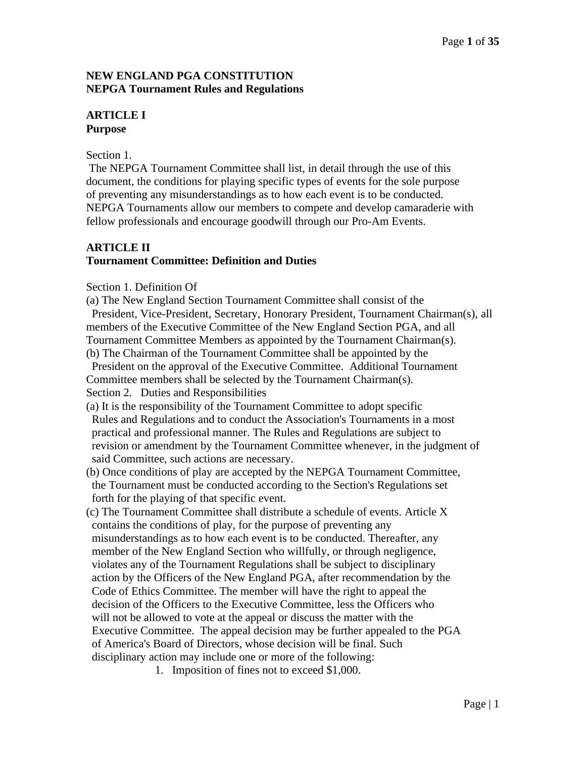# **NEW ENGLAND PGA CONSTITUTION NEPGA Tournament Rules and Regulations**

# **ARTICLE I Purpose**

#### Section 1.

The NEPGA Tournament Committee shall list, in detail through the use of this document, the conditions for playing specific types of events for the sole purpose of preventing any misunderstandings as to how each event is to be conducted. NEPGA Tournaments allow our members to compete and develop camaraderie with fellow professionals and encourage goodwill through our Pro-Am Events.

# **ARTICLE II Tournament Committee: Definition and Duties**

#### Section 1. Definition Of

(a) The New England Section Tournament Committee shall consist of the President, Vice-President, Secretary, Honorary President, Tournament Chairman(s), all members of the Executive Committee of the New England Section PGA, and all Tournament Committee Members as appointed by the Tournament Chairman(s). (b) The Chairman of the Tournament Committee shall be appointed by the

 President on the approval of the Executive Committee. Additional Tournament Committee members shall be selected by the Tournament Chairman(s). Section 2. Duties and Responsibilities

(a) It is the responsibility of the Tournament Committee to adopt specific Rules and Regulations and to conduct the Association's Tournaments in a most practical and professional manner. The Rules and Regulations are subject to revision or amendment by the Tournament Committee whenever, in the judgment of said Committee, such actions are necessary.

- (b) Once conditions of play are accepted by the NEPGA Tournament Committee, the Tournament must be conducted according to the Section's Regulations set forth for the playing of that specific event.
- (c) The Tournament Committee shall distribute a schedule of events. Article X contains the conditions of play, for the purpose of preventing any misunderstandings as to how each event is to be conducted. Thereafter, any member of the New England Section who willfully, or through negligence, violates any of the Tournament Regulations shall be subject to disciplinary action by the Officers of the New England PGA, after recommendation by the Code of Ethics Committee. The member will have the right to appeal the decision of the Officers to the Executive Committee, less the Officers who will not be allowed to vote at the appeal or discuss the matter with the Executive Committee. The appeal decision may be further appealed to the PGA of America's Board of Directors, whose decision will be final. Such disciplinary action may include one or more of the following:
	- 1. Imposition of fines not to exceed \$1,000.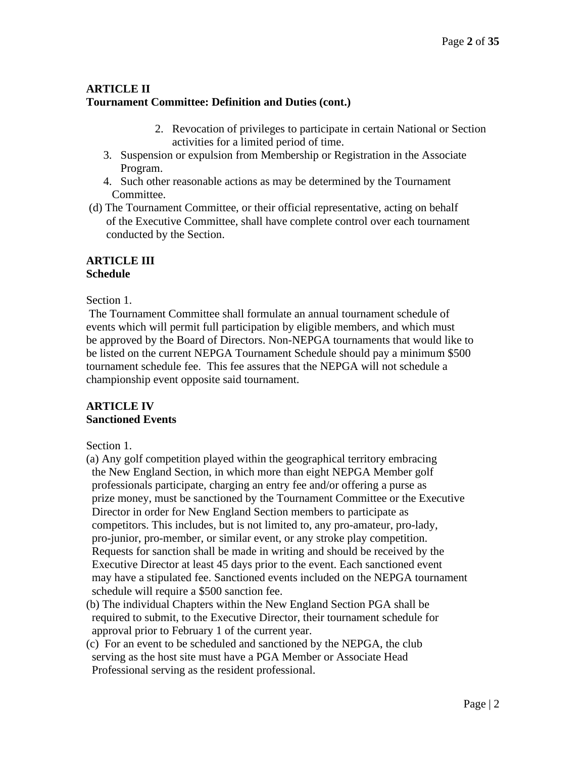# **ARTICLE II Tournament Committee: Definition and Duties (cont.)**

- 2. Revocation of privileges to participate in certain National or Section activities for a limited period of time.
- 3. Suspension or expulsion from Membership or Registration in the Associate Program.
- 4. Such other reasonable actions as may be determined by the Tournament Committee.
- (d) The Tournament Committee, or their official representative, acting on behalf of the Executive Committee, shall have complete control over each tournament conducted by the Section.

# **ARTICLE III Schedule**

Section 1.

The Tournament Committee shall formulate an annual tournament schedule of events which will permit full participation by eligible members, and which must be approved by the Board of Directors. Non-NEPGA tournaments that would like to be listed on the current NEPGA Tournament Schedule should pay a minimum \$500 tournament schedule fee. This fee assures that the NEPGA will not schedule a championship event opposite said tournament.

# **ARTICLE IV Sanctioned Events**

Section 1.

- (a) Any golf competition played within the geographical territory embracing the New England Section, in which more than eight NEPGA Member golf professionals participate, charging an entry fee and/or offering a purse as prize money, must be sanctioned by the Tournament Committee or the Executive Director in order for New England Section members to participate as competitors. This includes, but is not limited to, any pro-amateur, pro-lady, pro-junior, pro-member, or similar event, or any stroke play competition. Requests for sanction shall be made in writing and should be received by the Executive Director at least 45 days prior to the event. Each sanctioned event may have a stipulated fee. Sanctioned events included on the NEPGA tournament schedule will require a \$500 sanction fee.
- (b) The individual Chapters within the New England Section PGA shall be required to submit, to the Executive Director, their tournament schedule for approval prior to February 1 of the current year.
- (c) For an event to be scheduled and sanctioned by the NEPGA, the club serving as the host site must have a PGA Member or Associate Head Professional serving as the resident professional.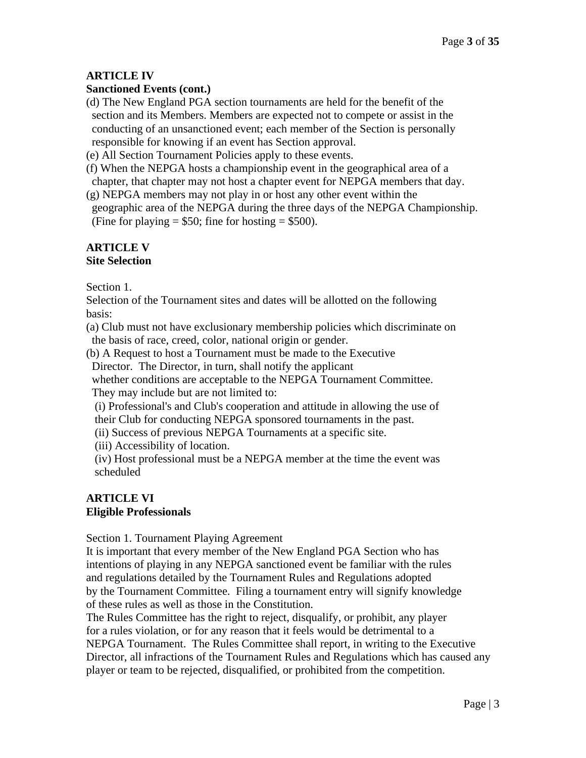# **ARTICLE IV**

# **Sanctioned Events (cont.)**

(d) The New England PGA section tournaments are held for the benefit of the section and its Members. Members are expected not to compete or assist in the conducting of an unsanctioned event; each member of the Section is personally responsible for knowing if an event has Section approval.

(e) All Section Tournament Policies apply to these events.

(f) When the NEPGA hosts a championship event in the geographical area of a chapter, that chapter may not host a chapter event for NEPGA members that day.

(g) NEPGA members may not play in or host any other event within the geographic area of the NEPGA during the three days of the NEPGA Championship. (Fine for playing  $= $50$ ; fine for hosting  $= $500$ ).

# **ARTICLE V Site Selection**

Section 1.

Selection of the Tournament sites and dates will be allotted on the following basis:

(a) Club must not have exclusionary membership policies which discriminate on the basis of race, creed, color, national origin or gender.

(b) A Request to host a Tournament must be made to the Executive

Director. The Director, in turn, shall notify the applicant

 whether conditions are acceptable to the NEPGA Tournament Committee. They may include but are not limited to:

 (i) Professional's and Club's cooperation and attitude in allowing the use of their Club for conducting NEPGA sponsored tournaments in the past.

(ii) Success of previous NEPGA Tournaments at a specific site.

(iii) Accessibility of location.

 (iv) Host professional must be a NEPGA member at the time the event was scheduled

# **ARTICLE VI Eligible Professionals**

Section 1. Tournament Playing Agreement

It is important that every member of the New England PGA Section who has intentions of playing in any NEPGA sanctioned event be familiar with the rules and regulations detailed by the Tournament Rules and Regulations adopted by the Tournament Committee. Filing a tournament entry will signify knowledge of these rules as well as those in the Constitution.

The Rules Committee has the right to reject, disqualify, or prohibit, any player for a rules violation, or for any reason that it feels would be detrimental to a NEPGA Tournament. The Rules Committee shall report, in writing to the Executive Director, all infractions of the Tournament Rules and Regulations which has caused any player or team to be rejected, disqualified, or prohibited from the competition.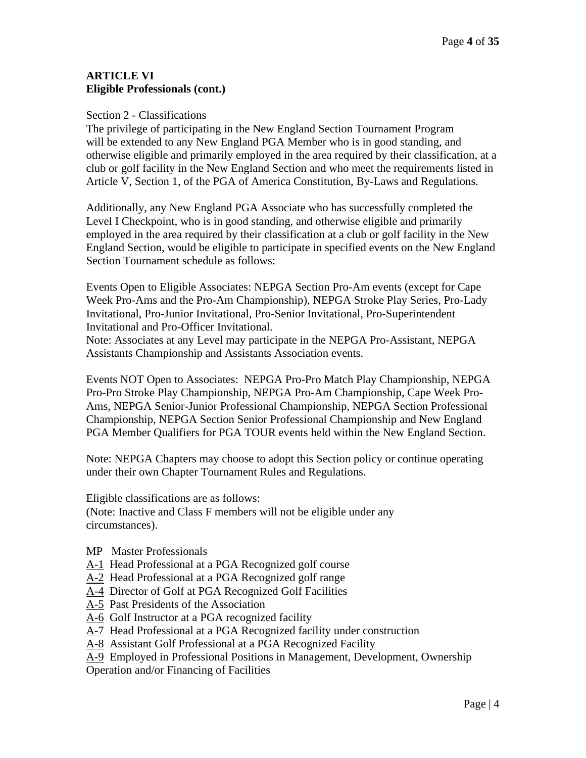# **ARTICLE VI Eligible Professionals (cont.)**

#### Section 2 - Classifications

The privilege of participating in the New England Section Tournament Program will be extended to any New England PGA Member who is in good standing, and otherwise eligible and primarily employed in the area required by their classification, at a club or golf facility in the New England Section and who meet the requirements listed in Article V, Section 1, of the PGA of America Constitution, By-Laws and Regulations.

Additionally, any New England PGA Associate who has successfully completed the Level I Checkpoint, who is in good standing, and otherwise eligible and primarily employed in the area required by their classification at a club or golf facility in the New England Section, would be eligible to participate in specified events on the New England Section Tournament schedule as follows:

Events Open to Eligible Associates: NEPGA Section Pro-Am events (except for Cape Week Pro-Ams and the Pro-Am Championship), NEPGA Stroke Play Series, Pro-Lady Invitational, Pro-Junior Invitational, Pro-Senior Invitational, Pro-Superintendent Invitational and Pro-Officer Invitational.

Note: Associates at any Level may participate in the NEPGA Pro-Assistant, NEPGA Assistants Championship and Assistants Association events.

Events NOT Open to Associates: NEPGA Pro-Pro Match Play Championship, NEPGA Pro-Pro Stroke Play Championship, NEPGA Pro-Am Championship, Cape Week Pro-Ams, NEPGA Senior-Junior Professional Championship, NEPGA Section Professional Championship, NEPGA Section Senior Professional Championship and New England PGA Member Qualifiers for PGA TOUR events held within the New England Section.

Note: NEPGA Chapters may choose to adopt this Section policy or continue operating under their own Chapter Tournament Rules and Regulations.

Eligible classifications are as follows:

(Note: Inactive and Class F members will not be eligible under any circumstances).

- MP Master Professionals
- A-1 Head Professional at a PGA Recognized golf course
- A-2 Head Professional at a PGA Recognized golf range
- A-4 Director of Golf at PGA Recognized Golf Facilities
- A-5 Past Presidents of the Association
- A-6 Golf Instructor at a PGA recognized facility
- A-7 Head Professional at a PGA Recognized facility under construction
- A-8 Assistant Golf Professional at a PGA Recognized Facility
- A-9 Employed in Professional Positions in Management, Development, Ownership

Operation and/or Financing of Facilities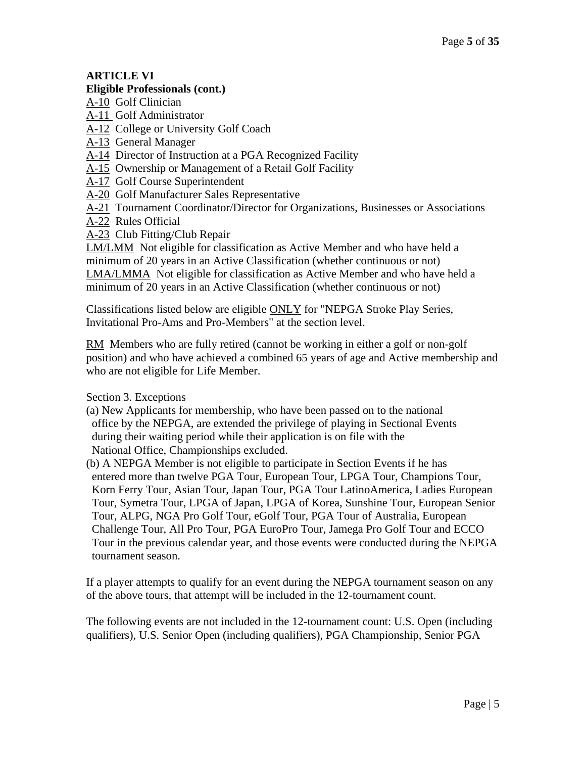# **ARTICLE VI**

#### **Eligible Professionals (cont.)**

A-10 Golf Clinician

A-11 Golf Administrator

A-12 College or University Golf Coach

A-13 General Manager

A-14 Director of Instruction at a PGA Recognized Facility

A-15 Ownership or Management of a Retail Golf Facility

A-17 Golf Course Superintendent

A-20 Golf Manufacturer Sales Representative

A-21 Tournament Coordinator/Director for Organizations, Businesses or Associations

A-22 Rules Official

A-23 Club Fitting/Club Repair

LM/LMM Not eligible for classification as Active Member and who have held a minimum of 20 years in an Active Classification (whether continuous or not) LMA/LMMA Not eligible for classification as Active Member and who have held a minimum of 20 years in an Active Classification (whether continuous or not)

Classifications listed below are eligible ONLY for "NEPGA Stroke Play Series, Invitational Pro-Ams and Pro-Members" at the section level.

RM Members who are fully retired (cannot be working in either a golf or non-golf position) and who have achieved a combined 65 years of age and Active membership and who are not eligible for Life Member.

Section 3. Exceptions

(a) New Applicants for membership, who have been passed on to the national office by the NEPGA, are extended the privilege of playing in Sectional Events during their waiting period while their application is on file with the National Office, Championships excluded.

(b) A NEPGA Member is not eligible to participate in Section Events if he has entered more than twelve PGA Tour, European Tour, LPGA Tour, Champions Tour, Korn Ferry Tour, Asian Tour, Japan Tour, PGA Tour LatinoAmerica, Ladies European Tour, Symetra Tour, LPGA of Japan, LPGA of Korea, Sunshine Tour, European Senior Tour, ALPG, NGA Pro Golf Tour, eGolf Tour, PGA Tour of Australia, European Challenge Tour, All Pro Tour, PGA EuroPro Tour, Jamega Pro Golf Tour and ECCO Tour in the previous calendar year, and those events were conducted during the NEPGA tournament season.

If a player attempts to qualify for an event during the NEPGA tournament season on any of the above tours, that attempt will be included in the 12-tournament count.

The following events are not included in the 12-tournament count: U.S. Open (including qualifiers), U.S. Senior Open (including qualifiers), PGA Championship, Senior PGA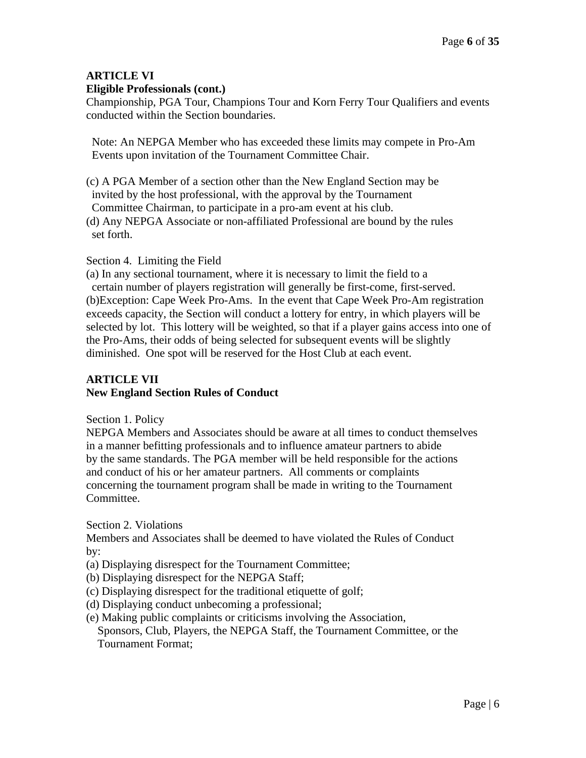# **ARTICLE VI Eligible Professionals (cont.)**

Championship, PGA Tour, Champions Tour and Korn Ferry Tour Qualifiers and events conducted within the Section boundaries.

Note: An NEPGA Member who has exceeded these limits may compete in Pro-Am Events upon invitation of the Tournament Committee Chair.

(c) A PGA Member of a section other than the New England Section may be invited by the host professional, with the approval by the Tournament Committee Chairman, to participate in a pro-am event at his club. (d) Any NEPGA Associate or non-affiliated Professional are bound by the rules set forth.

# Section 4. Limiting the Field

(a) In any sectional tournament, where it is necessary to limit the field to a certain number of players registration will generally be first-come, first-served. (b)Exception: Cape Week Pro-Ams. In the event that Cape Week Pro-Am registration exceeds capacity, the Section will conduct a lottery for entry, in which players will be selected by lot. This lottery will be weighted, so that if a player gains access into one of the Pro-Ams, their odds of being selected for subsequent events will be slightly diminished. One spot will be reserved for the Host Club at each event.

# **ARTICLE VII New England Section Rules of Conduct**

Section 1. Policy

NEPGA Members and Associates should be aware at all times to conduct themselves in a manner befitting professionals and to influence amateur partners to abide by the same standards. The PGA member will be held responsible for the actions and conduct of his or her amateur partners. All comments or complaints concerning the tournament program shall be made in writing to the Tournament Committee.

Section 2. Violations

Members and Associates shall be deemed to have violated the Rules of Conduct by:

- (a) Displaying disrespect for the Tournament Committee;
- (b) Displaying disrespect for the NEPGA Staff;
- (c) Displaying disrespect for the traditional etiquette of golf;
- (d) Displaying conduct unbecoming a professional;
- (e) Making public complaints or criticisms involving the Association,

Sponsors, Club, Players, the NEPGA Staff, the Tournament Committee, or the Tournament Format;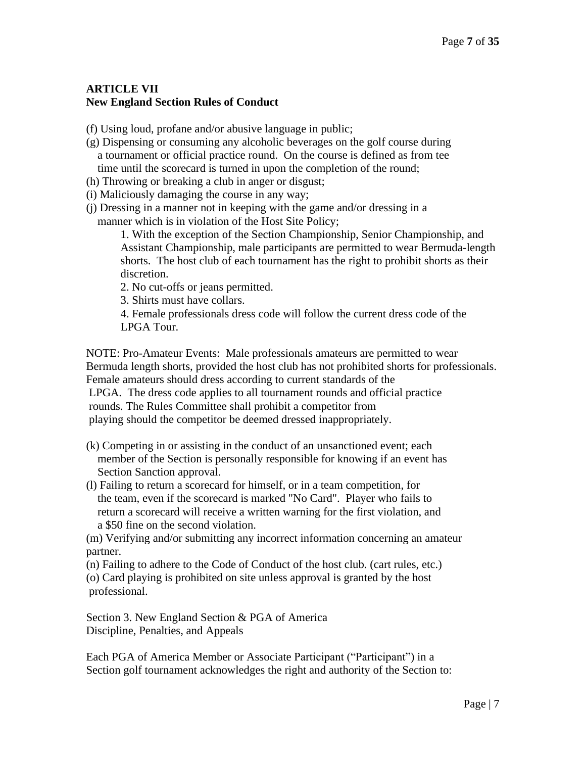# **ARTICLE VII New England Section Rules of Conduct**

- (f) Using loud, profane and/or abusive language in public;
- (g) Dispensing or consuming any alcoholic beverages on the golf course during a tournament or official practice round. On the course is defined as from tee time until the scorecard is turned in upon the completion of the round;
- (h) Throwing or breaking a club in anger or disgust;
- (i) Maliciously damaging the course in any way;
- (j) Dressing in a manner not in keeping with the game and/or dressing in a manner which is in violation of the Host Site Policy;

1. With the exception of the Section Championship, Senior Championship, and Assistant Championship, male participants are permitted to wear Bermuda-length shorts. The host club of each tournament has the right to prohibit shorts as their discretion.

- 2. No cut-offs or jeans permitted.
- 3. Shirts must have collars.

4. Female professionals dress code will follow the current dress code of the LPGA Tour.

NOTE: Pro-Amateur Events: Male professionals amateurs are permitted to wear Bermuda length shorts, provided the host club has not prohibited shorts for professionals. Female amateurs should dress according to current standards of the LPGA. The dress code applies to all tournament rounds and official practice rounds. The Rules Committee shall prohibit a competitor from playing should the competitor be deemed dressed inappropriately.

- (k) Competing in or assisting in the conduct of an unsanctioned event; each member of the Section is personally responsible for knowing if an event has Section Sanction approval.
- (l) Failing to return a scorecard for himself, or in a team competition, for the team, even if the scorecard is marked "No Card". Player who fails to return a scorecard will receive a written warning for the first violation, and a \$50 fine on the second violation.

(m) Verifying and/or submitting any incorrect information concerning an amateur partner.

(n) Failing to adhere to the Code of Conduct of the host club. (cart rules, etc.) (o) Card playing is prohibited on site unless approval is granted by the host professional.

Section 3. New England Section & PGA of America Discipline, Penalties, and Appeals

Each PGA of America Member or Associate Participant ("Participant") in a Section golf tournament acknowledges the right and authority of the Section to: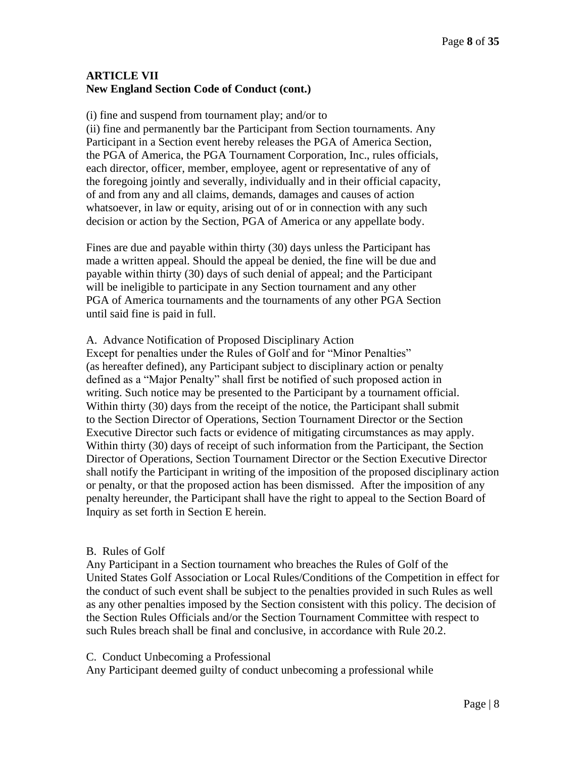# **ARTICLE VII New England Section Code of Conduct (cont.)**

(i) fine and suspend from tournament play; and/or to

(ii) fine and permanently bar the Participant from Section tournaments. Any Participant in a Section event hereby releases the PGA of America Section, the PGA of America, the PGA Tournament Corporation, Inc., rules officials, each director, officer, member, employee, agent or representative of any of the foregoing jointly and severally, individually and in their official capacity, of and from any and all claims, demands, damages and causes of action whatsoever, in law or equity, arising out of or in connection with any such decision or action by the Section, PGA of America or any appellate body.

Fines are due and payable within thirty (30) days unless the Participant has made a written appeal. Should the appeal be denied, the fine will be due and payable within thirty (30) days of such denial of appeal; and the Participant will be ineligible to participate in any Section tournament and any other PGA of America tournaments and the tournaments of any other PGA Section until said fine is paid in full.

#### A. Advance Notification of Proposed Disciplinary Action

Except for penalties under the Rules of Golf and for "Minor Penalties" (as hereafter defined), any Participant subject to disciplinary action or penalty defined as a "Major Penalty" shall first be notified of such proposed action in writing. Such notice may be presented to the Participant by a tournament official. Within thirty (30) days from the receipt of the notice, the Participant shall submit to the Section Director of Operations, Section Tournament Director or the Section Executive Director such facts or evidence of mitigating circumstances as may apply. Within thirty (30) days of receipt of such information from the Participant, the Section Director of Operations, Section Tournament Director or the Section Executive Director shall notify the Participant in writing of the imposition of the proposed disciplinary action or penalty, or that the proposed action has been dismissed. After the imposition of any penalty hereunder, the Participant shall have the right to appeal to the Section Board of Inquiry as set forth in Section E herein.

#### B. Rules of Golf

Any Participant in a Section tournament who breaches the Rules of Golf of the United States Golf Association or Local Rules/Conditions of the Competition in effect for the conduct of such event shall be subject to the penalties provided in such Rules as well as any other penalties imposed by the Section consistent with this policy. The decision of the Section Rules Officials and/or the Section Tournament Committee with respect to such Rules breach shall be final and conclusive, in accordance with Rule 20.2.

#### C. Conduct Unbecoming a Professional

Any Participant deemed guilty of conduct unbecoming a professional while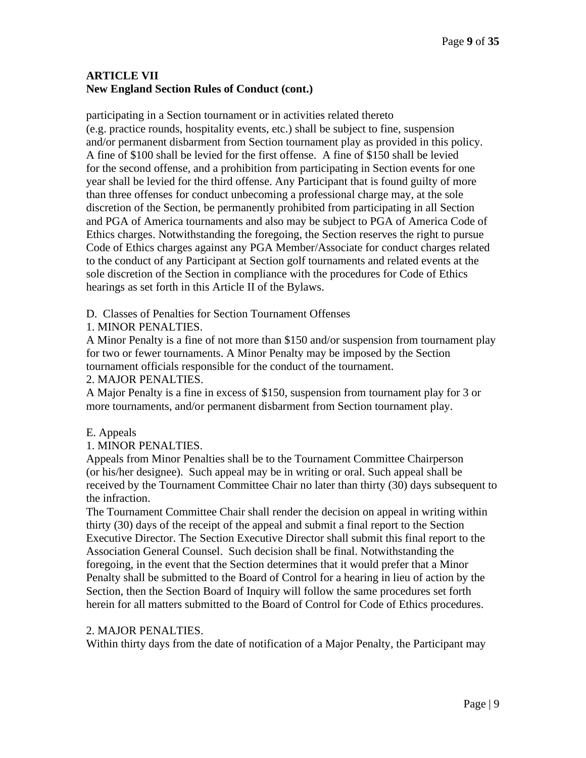# **ARTICLE VII New England Section Rules of Conduct (cont.)**

participating in a Section tournament or in activities related thereto (e.g. practice rounds, hospitality events, etc.) shall be subject to fine, suspension and/or permanent disbarment from Section tournament play as provided in this policy. A fine of \$100 shall be levied for the first offense. A fine of \$150 shall be levied for the second offense, and a prohibition from participating in Section events for one year shall be levied for the third offense. Any Participant that is found guilty of more than three offenses for conduct unbecoming a professional charge may, at the sole discretion of the Section, be permanently prohibited from participating in all Section and PGA of America tournaments and also may be subject to PGA of America Code of Ethics charges. Notwithstanding the foregoing, the Section reserves the right to pursue Code of Ethics charges against any PGA Member/Associate for conduct charges related to the conduct of any Participant at Section golf tournaments and related events at the sole discretion of the Section in compliance with the procedures for Code of Ethics hearings as set forth in this Article II of the Bylaws.

D. Classes of Penalties for Section Tournament Offenses

# 1. MINOR PENALTIES.

A Minor Penalty is a fine of not more than \$150 and/or suspension from tournament play for two or fewer tournaments. A Minor Penalty may be imposed by the Section tournament officials responsible for the conduct of the tournament.

# 2. MAJOR PENALTIES.

A Major Penalty is a fine in excess of \$150, suspension from tournament play for 3 or more tournaments, and/or permanent disbarment from Section tournament play.

# E. Appeals

# 1. MINOR PENALTIES.

Appeals from Minor Penalties shall be to the Tournament Committee Chairperson (or his/her designee). Such appeal may be in writing or oral. Such appeal shall be received by the Tournament Committee Chair no later than thirty (30) days subsequent to the infraction.

The Tournament Committee Chair shall render the decision on appeal in writing within thirty (30) days of the receipt of the appeal and submit a final report to the Section Executive Director. The Section Executive Director shall submit this final report to the Association General Counsel. Such decision shall be final. Notwithstanding the foregoing, in the event that the Section determines that it would prefer that a Minor Penalty shall be submitted to the Board of Control for a hearing in lieu of action by the Section, then the Section Board of Inquiry will follow the same procedures set forth herein for all matters submitted to the Board of Control for Code of Ethics procedures.

# 2. MAJOR PENALTIES.

Within thirty days from the date of notification of a Major Penalty, the Participant may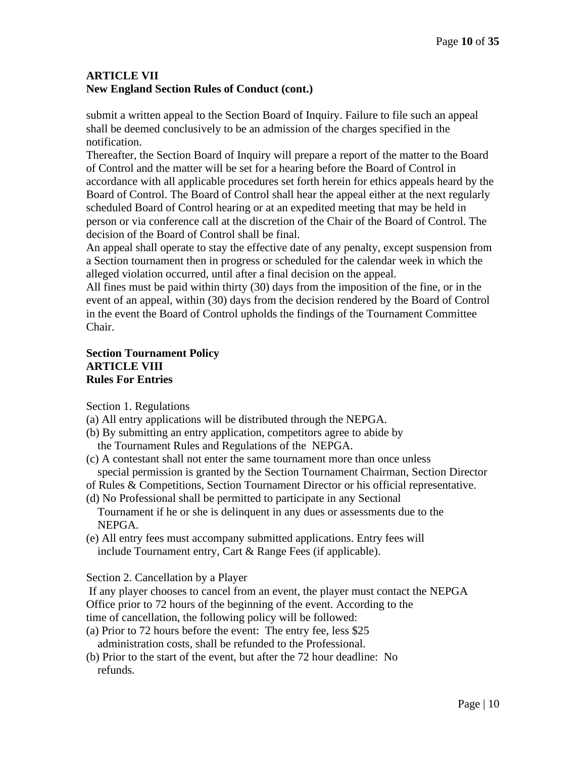# **ARTICLE VII New England Section Rules of Conduct (cont.)**

submit a written appeal to the Section Board of Inquiry. Failure to file such an appeal shall be deemed conclusively to be an admission of the charges specified in the notification.

Thereafter, the Section Board of Inquiry will prepare a report of the matter to the Board of Control and the matter will be set for a hearing before the Board of Control in accordance with all applicable procedures set forth herein for ethics appeals heard by the Board of Control. The Board of Control shall hear the appeal either at the next regularly scheduled Board of Control hearing or at an expedited meeting that may be held in person or via conference call at the discretion of the Chair of the Board of Control. The decision of the Board of Control shall be final.

An appeal shall operate to stay the effective date of any penalty, except suspension from a Section tournament then in progress or scheduled for the calendar week in which the alleged violation occurred, until after a final decision on the appeal.

All fines must be paid within thirty (30) days from the imposition of the fine, or in the event of an appeal, within (30) days from the decision rendered by the Board of Control in the event the Board of Control upholds the findings of the Tournament Committee Chair.

#### **Section Tournament Policy ARTICLE VIII Rules For Entries**

Section 1. Regulations

- (a) All entry applications will be distributed through the NEPGA.
- (b) By submitting an entry application, competitors agree to abide by the Tournament Rules and Regulations of the NEPGA.
- (c) A contestant shall not enter the same tournament more than once unless special permission is granted by the Section Tournament Chairman, Section Director

of Rules & Competitions, Section Tournament Director or his official representative.

- (d) No Professional shall be permitted to participate in any Sectional Tournament if he or she is delinquent in any dues or assessments due to the NEPGA.
- (e) All entry fees must accompany submitted applications. Entry fees will include Tournament entry, Cart & Range Fees (if applicable).

Section 2. Cancellation by a Player

If any player chooses to cancel from an event, the player must contact the NEPGA

Office prior to 72 hours of the beginning of the event. According to the

time of cancellation, the following policy will be followed:

- (a) Prior to 72 hours before the event: The entry fee, less \$25 administration costs, shall be refunded to the Professional.
- (b) Prior to the start of the event, but after the 72 hour deadline: No refunds.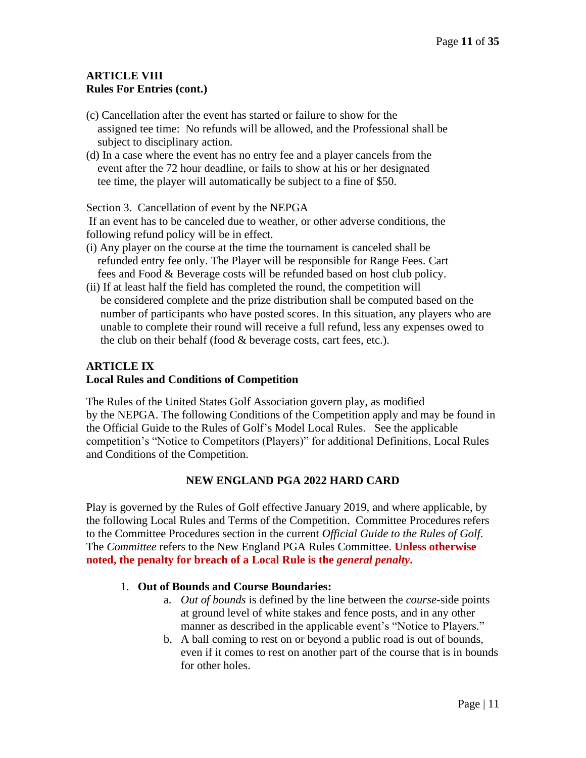# **ARTICLE VIII Rules For Entries (cont.)**

- (c) Cancellation after the event has started or failure to show for the assigned tee time: No refunds will be allowed, and the Professional shall be subject to disciplinary action.
- (d) In a case where the event has no entry fee and a player cancels from the event after the 72 hour deadline, or fails to show at his or her designated tee time, the player will automatically be subject to a fine of \$50.

Section 3. Cancellation of event by the NEPGA

If an event has to be canceled due to weather, or other adverse conditions, the following refund policy will be in effect.

- (i) Any player on the course at the time the tournament is canceled shall be refunded entry fee only. The Player will be responsible for Range Fees. Cart fees and Food & Beverage costs will be refunded based on host club policy.
- (ii) If at least half the field has completed the round, the competition will be considered complete and the prize distribution shall be computed based on the number of participants who have posted scores. In this situation, any players who are unable to complete their round will receive a full refund, less any expenses owed to the club on their behalf (food & beverage costs, cart fees, etc.).

# **ARTICLE IX**

# **Local Rules and Conditions of Competition**

The Rules of the United States Golf Association govern play, as modified by the NEPGA. The following Conditions of the Competition apply and may be found in the Official Guide to the Rules of Golf's Model Local Rules. See the applicable competition's "Notice to Competitors (Players)" for additional Definitions, Local Rules and Conditions of the Competition.

# **NEW ENGLAND PGA 2022 HARD CARD**

Play is governed by the Rules of Golf effective January 2019, and where applicable, by the following Local Rules and Terms of the Competition. Committee Procedures refers to the Committee Procedures section in the current *Official Guide to the Rules of Golf*. The *Committee* refers to the New England PGA Rules Committee. **Unless otherwise noted, the penalty for breach of a Local Rule is the** *general penalty***.**

# 1. **Out of Bounds and Course Boundaries:**

- a. *Out of bounds* is defined by the line between the *course*-side points at ground level of white stakes and fence posts, and in any other manner as described in the applicable event's "Notice to Players."
- b. A ball coming to rest on or beyond a public road is out of bounds, even if it comes to rest on another part of the course that is in bounds for other holes.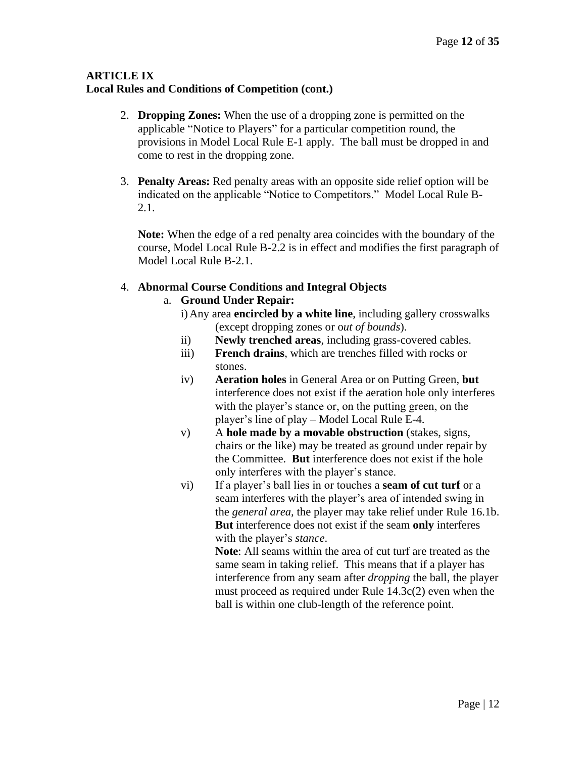- 2. **Dropping Zones:** When the use of a dropping zone is permitted on the applicable "Notice to Players" for a particular competition round, the provisions in Model Local Rule E-1 apply. The ball must be dropped in and come to rest in the dropping zone.
- 3. **Penalty Areas:** Red penalty areas with an opposite side relief option will be indicated on the applicable "Notice to Competitors." Model Local Rule B-2.1.

**Note:** When the edge of a red penalty area coincides with the boundary of the course, Model Local Rule B-2.2 is in effect and modifies the first paragraph of Model Local Rule B-2.1.

# 4. **Abnormal Course Conditions and Integral Objects**

# a. **Ground Under Repair:**

- i)Any area **encircled by a white line**, including gallery crosswalks (except dropping zones or o*ut of bounds*).
- ii) **Newly trenched areas**, including grass-covered cables.
- iii) **French drains**, which are trenches filled with rocks or stones.
- iv) **Aeration holes** in General Area or on Putting Green, **but** interference does not exist if the aeration hole only interferes with the player's stance or, on the putting green, on the player's line of play – Model Local Rule E-4.
- v) A **hole made by a movable obstruction** (stakes, signs, chairs or the like) may be treated as ground under repair by the Committee. **But** interference does not exist if the hole only interferes with the player's stance.
- vi) If a player's ball lies in or touches a **seam of cut turf** or a seam interferes with the player's area of intended swing in the *general area,* the player may take relief under Rule 16.1b. **But** interference does not exist if the seam **only** interferes with the player's *stance*.

**Note**: All seams within the area of cut turf are treated as the same seam in taking relief. This means that if a player has interference from any seam after *dropping* the ball, the player must proceed as required under Rule 14.3c(2) even when the ball is within one club-length of the reference point.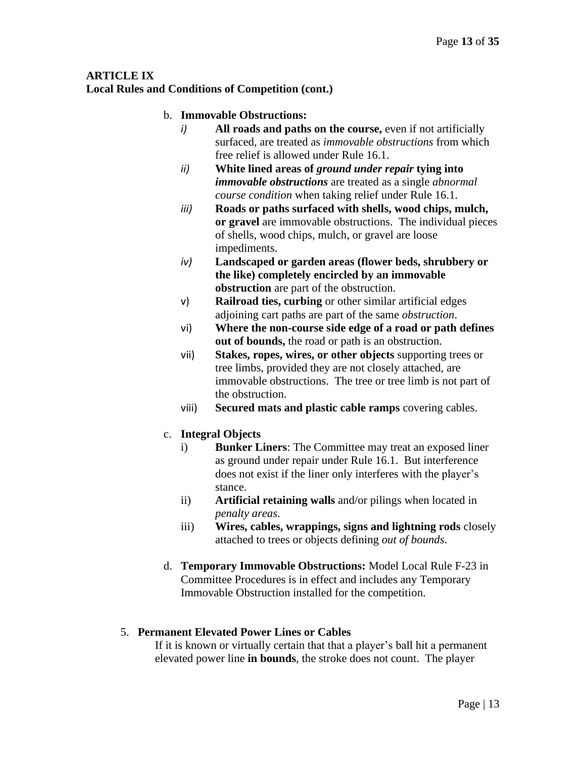# **Local Rules and Conditions of Competition (cont.)**

# b. **Immovable Obstructions:**

- *i*) **All roads and paths on the course, even** if not artificially surfaced, are treated as *immovable obstructions* from which free relief is allowed under Rule 16.1.
- *ii)* **White lined areas of** *ground under repair* **tying into**  *immovable obstructions* are treated as a single *abnormal course condition* when taking relief under Rule 16.1.
- *iii)* **Roads or paths surfaced with shells, wood chips, mulch, or gravel** are immovable obstructions. The individual pieces of shells, wood chips, mulch, or gravel are loose impediments.
- *iv)* **Landscaped or garden areas (flower beds, shrubbery or the like) completely encircled by an immovable obstruction** are part of the obstruction.
- v) **Railroad ties, curbing** or other similar artificial edges adjoining cart paths are part of the same *obstruction*.
- vi) **Where the non-course side edge of a road or path defines out of bounds,** the road or path is an obstruction.
- vii) **Stakes, ropes, wires, or other objects** supporting trees or tree limbs, provided they are not closely attached, are immovable obstructions. The tree or tree limb is not part of the obstruction.
- viii) **Secured mats and plastic cable ramps** covering cables.

# c. **Integral Objects**

- i) **Bunker Liners**: The Committee may treat an exposed liner as ground under repair under Rule 16.1. But interference does not exist if the liner only interferes with the player's stance.
- ii) **Artificial retaining walls** and/or pilings when located in *penalty areas*.
- iii) **Wires, cables, wrappings, signs and lightning rods** closely attached to trees or objects defining *out of bounds*.
- d. **Temporary Immovable Obstructions:** Model Local Rule F-23 in Committee Procedures is in effect and includes any Temporary Immovable Obstruction installed for the competition.

#### 5. **Permanent Elevated Power Lines or Cables**

If it is known or virtually certain that that a player's ball hit a permanent elevated power line **in bounds**, the stroke does not count. The player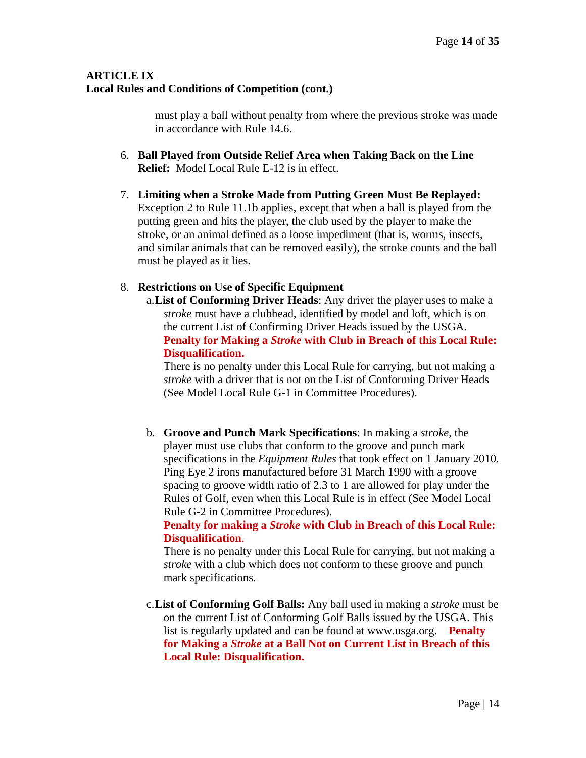must play a ball without penalty from where the previous stroke was made in accordance with Rule 14.6.

- 6. **Ball Played from Outside Relief Area when Taking Back on the Line Relief:** Model Local Rule E-12 is in effect.
- 7. **Limiting when a Stroke Made from Putting Green Must Be Replayed:** Exception 2 to Rule 11.1b applies, except that when a ball is played from the putting green and hits the player, the club used by the player to make the stroke, or an animal defined as a loose impediment (that is, worms, insects, and similar animals that can be removed easily), the stroke counts and the ball must be played as it lies.

# 8. **Restrictions on Use of Specific Equipment**

a.**List of Conforming Driver Heads**: Any driver the player uses to make a *stroke* must have a clubhead, identified by model and loft, which is on the current List of Confirming Driver Heads issued by the USGA. **Penalty for Making a** *Stroke* **with Club in Breach of this Local Rule: Disqualification.** 

There is no penalty under this Local Rule for carrying, but not making a *stroke* with a driver that is not on the List of Conforming Driver Heads (See Model Local Rule G-1 in Committee Procedures).

b. **Groove and Punch Mark Specifications**: In making a *stroke*, the player must use clubs that conform to the groove and punch mark specifications in the *Equipment Rules* that took effect on 1 January 2010. Ping Eye 2 irons manufactured before 31 March 1990 with a groove spacing to groove width ratio of 2.3 to 1 are allowed for play under the Rules of Golf, even when this Local Rule is in effect (See Model Local Rule G-2 in Committee Procedures).

#### **Penalty for making a** *Stroke* **with Club in Breach of this Local Rule: Disqualification**.

There is no penalty under this Local Rule for carrying, but not making a *stroke* with a club which does not conform to these groove and punch mark specifications.

c.**List of Conforming Golf Balls:** Any ball used in making a *stroke* must be on the current List of Conforming Golf Balls issued by the USGA. This list is regularly updated and can be found at www.usga.org. **Penalty for Making a** *Stroke* **at a Ball Not on Current List in Breach of this Local Rule: Disqualification.**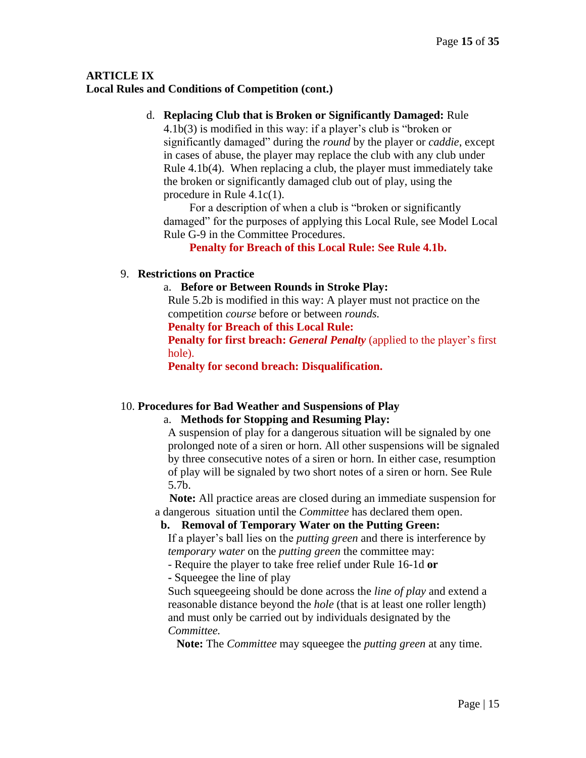#### d. **Replacing Club that is Broken or Significantly Damaged:** Rule

4.1b(3) is modified in this way: if a player's club is "broken or significantly damaged" during the *round* by the player or *caddie*, except in cases of abuse, the player may replace the club with any club under Rule 4.1b(4).When replacing a club, the player must immediately take the broken or significantly damaged club out of play, using the procedure in Rule 4.1c(1).

For a description of when a club is "broken or significantly damaged" for the purposes of applying this Local Rule, see Model Local Rule G-9 in the Committee Procedures.

**Penalty for Breach of this Local Rule: See Rule 4.1b.**

#### 9. **Restrictions on Practice**

#### a. **Before or Between Rounds in Stroke Play:**

Rule 5.2b is modified in this way: A player must not practice on the competition *course* before or between *rounds.*

**Penalty for Breach of this Local Rule:** 

**Penalty for first breach:** *General Penalty* (applied to the player's first hole).

**Penalty for second breach: Disqualification.**

#### 10. **Procedures for Bad Weather and Suspensions of Play**

#### a. **Methods for Stopping and Resuming Play:**

A suspension of play for a dangerous situation will be signaled by one prolonged note of a siren or horn. All other suspensions will be signaled by three consecutive notes of a siren or horn. In either case, resumption of play will be signaled by two short notes of a siren or horn. See Rule 5.7b.

 **Note:** All practice areas are closed during an immediate suspension for a dangerous situation until the *Committee* has declared them open.

# **b. Removal of Temporary Water on the Putting Green:**

If a player's ball lies on the *putting green* and there is interference by *temporary water* on the *putting green* the committee may:

- Require the player to take free relief under Rule 16-1d **or** 

**-** Squeegee the line of play

Such squeegeeing should be done across the *line of play* and extend a reasonable distance beyond the *hole* (that is at least one roller length) and must only be carried out by individuals designated by the *Committee.*

 **Note:** The *Committee* may squeegee the *putting green* at any time.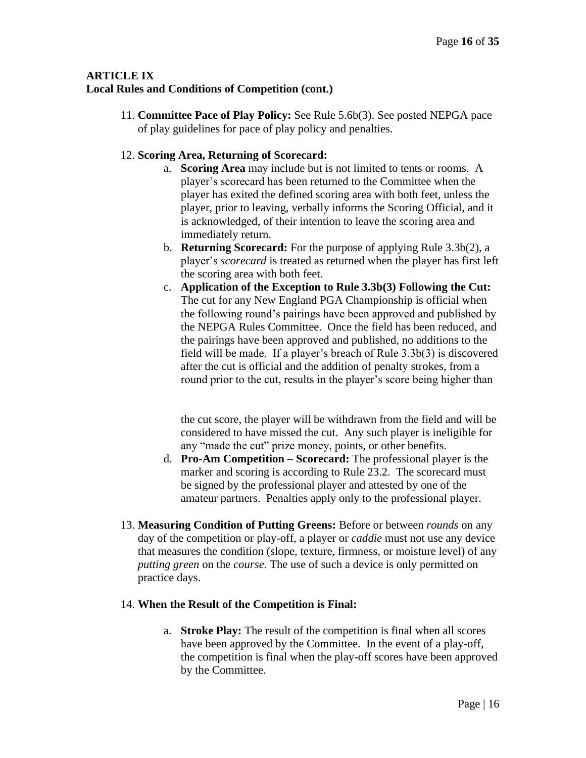11. **Committee Pace of Play Policy:** See Rule 5.6b(3). See posted NEPGA pace of play guidelines for pace of play policy and penalties.

# 12. **Scoring Area, Returning of Scorecard:**

- a. **Scoring Area** may include but is not limited to tents or rooms. A player's scorecard has been returned to the Committee when the player has exited the defined scoring area with both feet, unless the player, prior to leaving, verbally informs the Scoring Official, and it is acknowledged, of their intention to leave the scoring area and immediately return.
- b. **Returning Scorecard:** For the purpose of applying Rule 3.3b(2), a player's *scorecard* is treated as returned when the player has first left the scoring area with both feet.
- c. **Application of the Exception to Rule 3.3b(3) Following the Cut:** The cut for any New England PGA Championship is official when the following round's pairings have been approved and published by the NEPGA Rules Committee. Once the field has been reduced, and the pairings have been approved and published, no additions to the field will be made. If a player's breach of Rule 3.3b(3) is discovered after the cut is official and the addition of penalty strokes, from a round prior to the cut, results in the player's score being higher than

the cut score, the player will be withdrawn from the field and will be considered to have missed the cut. Any such player is ineligible for any "made the cut" prize money, points, or other benefits.

- d. **Pro-Am Competition – Scorecard:** The professional player is the marker and scoring is according to Rule 23.2. The scorecard must be signed by the professional player and attested by one of the amateur partners. Penalties apply only to the professional player.
- 13. **Measuring Condition of Putting Greens:** Before or between *rounds* on any day of the competition or play-off, a player or *caddie* must not use any device that measures the condition (slope, texture, firmness, or moisture level) of any *putting green* on the *course*. The use of such a device is only permitted on practice days.

# 14. **When the Result of the Competition is Final:**

a. **Stroke Play:** The result of the competition is final when all scores have been approved by the Committee. In the event of a play-off, the competition is final when the play-off scores have been approved by the Committee.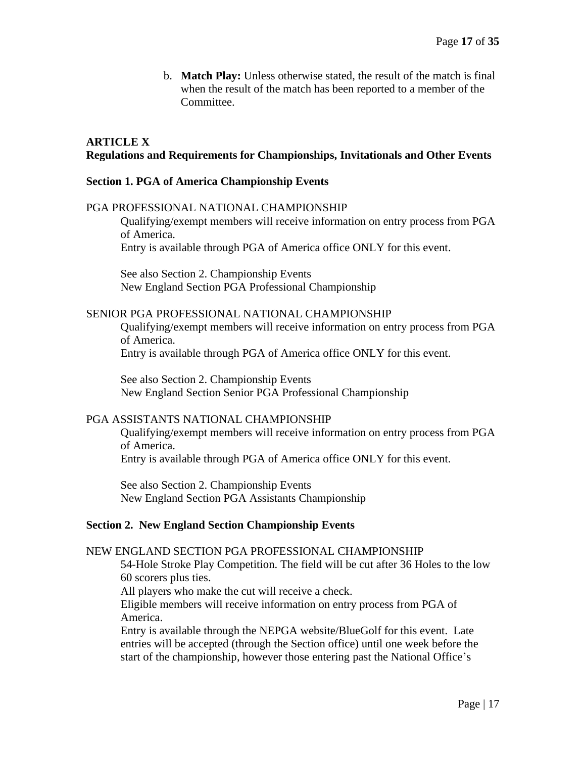b. **Match Play:** Unless otherwise stated, the result of the match is final when the result of the match has been reported to a member of the Committee.

#### **ARTICLE X Regulations and Requirements for Championships, Invitationals and Other Events**

#### **Section 1. PGA of America Championship Events**

#### PGA PROFESSIONAL NATIONAL CHAMPIONSHIP

Qualifying/exempt members will receive information on entry process from PGA of America.

Entry is available through PGA of America office ONLY for this event.

See also Section 2. Championship Events New England Section PGA Professional Championship

#### SENIOR PGA PROFESSIONAL NATIONAL CHAMPIONSHIP

Qualifying/exempt members will receive information on entry process from PGA of America.

Entry is available through PGA of America office ONLY for this event.

See also Section 2. Championship Events New England Section Senior PGA Professional Championship

#### PGA ASSISTANTS NATIONAL CHAMPIONSHIP

Qualifying/exempt members will receive information on entry process from PGA of America. Entry is available through PGA of America office ONLY for this event.

See also Section 2. Championship Events New England Section PGA Assistants Championship

#### **Section 2. New England Section Championship Events**

#### NEW ENGLAND SECTION PGA PROFESSIONAL CHAMPIONSHIP

54-Hole Stroke Play Competition. The field will be cut after 36 Holes to the low 60 scorers plus ties.

All players who make the cut will receive a check.

Eligible members will receive information on entry process from PGA of America.

Entry is available through the NEPGA website/BlueGolf for this event. Late entries will be accepted (through the Section office) until one week before the start of the championship, however those entering past the National Office's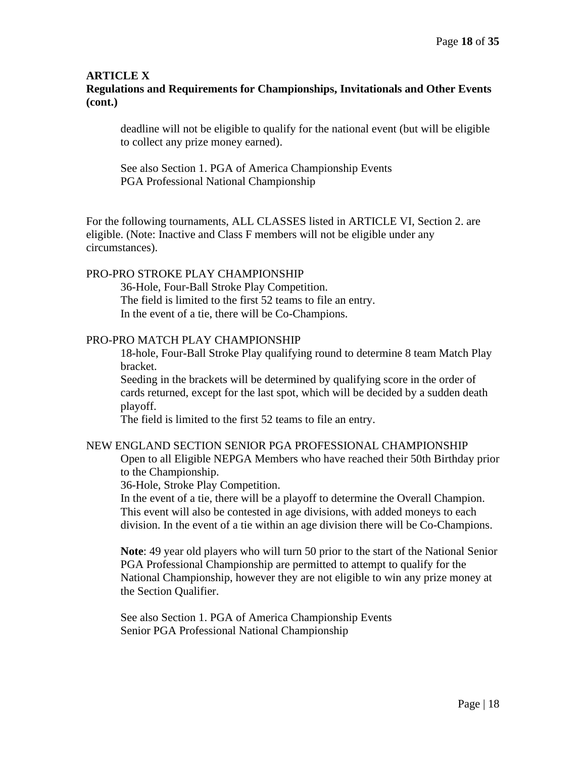# **Regulations and Requirements for Championships, Invitationals and Other Events (cont.)**

deadline will not be eligible to qualify for the national event (but will be eligible to collect any prize money earned).

See also Section 1. PGA of America Championship Events PGA Professional National Championship

For the following tournaments, ALL CLASSES listed in ARTICLE VI, Section 2. are eligible. (Note: Inactive and Class F members will not be eligible under any circumstances).

#### PRO-PRO STROKE PLAY CHAMPIONSHIP

36-Hole, Four-Ball Stroke Play Competition. The field is limited to the first 52 teams to file an entry. In the event of a tie, there will be Co-Champions.

#### PRO-PRO MATCH PLAY CHAMPIONSHIP

18-hole, Four-Ball Stroke Play qualifying round to determine 8 team Match Play bracket.

Seeding in the brackets will be determined by qualifying score in the order of cards returned, except for the last spot, which will be decided by a sudden death playoff.

The field is limited to the first 52 teams to file an entry.

#### NEW ENGLAND SECTION SENIOR PGA PROFESSIONAL CHAMPIONSHIP

Open to all Eligible NEPGA Members who have reached their 50th Birthday prior to the Championship.

36-Hole, Stroke Play Competition.

In the event of a tie, there will be a playoff to determine the Overall Champion. This event will also be contested in age divisions, with added moneys to each division. In the event of a tie within an age division there will be Co-Champions.

**Note**: 49 year old players who will turn 50 prior to the start of the National Senior PGA Professional Championship are permitted to attempt to qualify for the National Championship, however they are not eligible to win any prize money at the Section Qualifier.

See also Section 1. PGA of America Championship Events Senior PGA Professional National Championship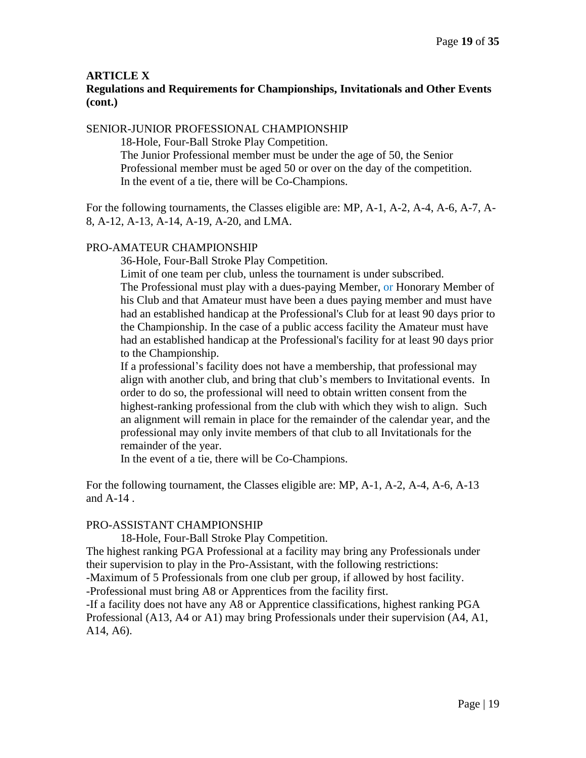# **Regulations and Requirements for Championships, Invitationals and Other Events (cont.)**

#### SENIOR-JUNIOR PROFESSIONAL CHAMPIONSHIP

18-Hole, Four-Ball Stroke Play Competition.

The Junior Professional member must be under the age of 50, the Senior Professional member must be aged 50 or over on the day of the competition. In the event of a tie, there will be Co-Champions.

For the following tournaments, the Classes eligible are: MP, A-1, A-2, A-4, A-6, A-7, A-8, A-12, A-13, A-14, A-19, A-20, and LMA.

#### PRO-AMATEUR CHAMPIONSHIP

36-Hole, Four-Ball Stroke Play Competition.

Limit of one team per club, unless the tournament is under subscribed. The Professional must play with a dues-paying Member, or Honorary Member of his Club and that Amateur must have been a dues paying member and must have had an established handicap at the Professional's Club for at least 90 days prior to the Championship. In the case of a public access facility the Amateur must have had an established handicap at the Professional's facility for at least 90 days prior to the Championship.

If a professional's facility does not have a membership, that professional may align with another club, and bring that club's members to Invitational events. In order to do so, the professional will need to obtain written consent from the highest-ranking professional from the club with which they wish to align. Such an alignment will remain in place for the remainder of the calendar year, and the professional may only invite members of that club to all Invitationals for the remainder of the year.

In the event of a tie, there will be Co-Champions.

For the following tournament, the Classes eligible are: MP, A-1, A-2, A-4, A-6, A-13 and A-14 .

#### PRO-ASSISTANT CHAMPIONSHIP

18-Hole, Four-Ball Stroke Play Competition.

The highest ranking PGA Professional at a facility may bring any Professionals under their supervision to play in the Pro-Assistant, with the following restrictions:

-Maximum of 5 Professionals from one club per group, if allowed by host facility.

-Professional must bring A8 or Apprentices from the facility first.

-If a facility does not have any A8 or Apprentice classifications, highest ranking PGA Professional (A13, A4 or A1) may bring Professionals under their supervision (A4, A1, A14, A6).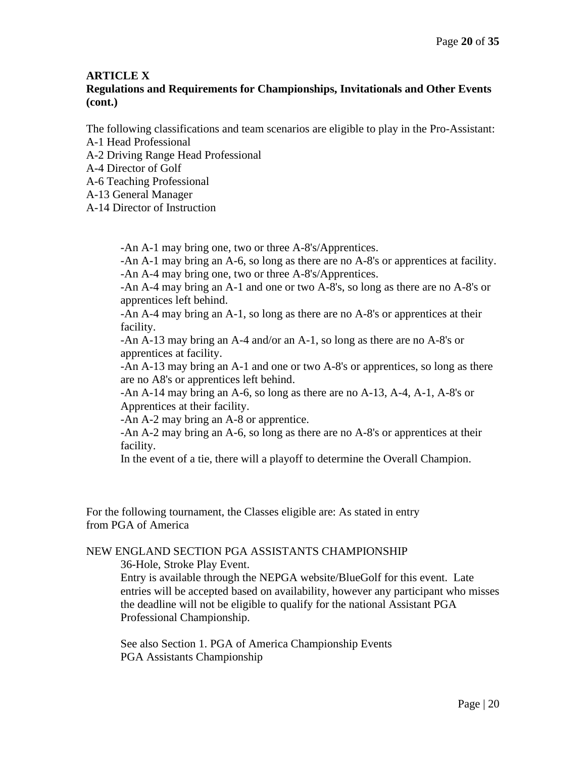# **Regulations and Requirements for Championships, Invitationals and Other Events (cont.)**

The following classifications and team scenarios are eligible to play in the Pro-Assistant:

- A-1 Head Professional
- A-2 Driving Range Head Professional
- A-4 Director of Golf
- A-6 Teaching Professional
- A-13 General Manager
- A-14 Director of Instruction

-An A-1 may bring one, two or three A-8's/Apprentices.

-An A-1 may bring an A-6, so long as there are no A-8's or apprentices at facility. -An A-4 may bring one, two or three A-8's/Apprentices.

-An A-4 may bring an A-1 and one or two A-8's, so long as there are no A-8's or apprentices left behind.

-An A-4 may bring an A-1, so long as there are no A-8's or apprentices at their facility.

-An A-13 may bring an A-4 and/or an A-1, so long as there are no A-8's or apprentices at facility.

-An A-13 may bring an A-1 and one or two A-8's or apprentices, so long as there are no A8's or apprentices left behind.

-An A-14 may bring an A-6, so long as there are no A-13, A-4, A-1, A-8's or Apprentices at their facility.

-An A-2 may bring an A-8 or apprentice.

-An A-2 may bring an A-6, so long as there are no A-8's or apprentices at their facility.

In the event of a tie, there will a playoff to determine the Overall Champion.

For the following tournament, the Classes eligible are: As stated in entry from PGA of America

#### NEW ENGLAND SECTION PGA ASSISTANTS CHAMPIONSHIP

36-Hole, Stroke Play Event.

Entry is available through the NEPGA website/BlueGolf for this event. Late entries will be accepted based on availability, however any participant who misses the deadline will not be eligible to qualify for the national Assistant PGA Professional Championship.

See also Section 1. PGA of America Championship Events PGA Assistants Championship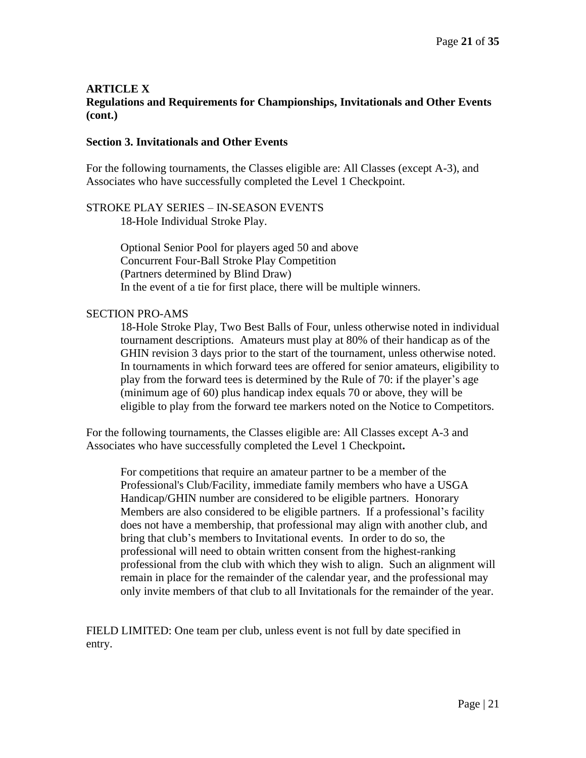#### **ARTICLE X Regulations and Requirements for Championships, Invitationals and Other Events (cont.)**

#### **Section 3. Invitationals and Other Events**

For the following tournaments, the Classes eligible are: All Classes (except A-3), and Associates who have successfully completed the Level 1 Checkpoint.

STROKE PLAY SERIES – IN-SEASON EVENTS 18-Hole Individual Stroke Play.

> Optional Senior Pool for players aged 50 and above Concurrent Four-Ball Stroke Play Competition (Partners determined by Blind Draw) In the event of a tie for first place, there will be multiple winners.

#### SECTION PRO-AMS

18-Hole Stroke Play, Two Best Balls of Four, unless otherwise noted in individual tournament descriptions. Amateurs must play at 80% of their handicap as of the GHIN revision 3 days prior to the start of the tournament, unless otherwise noted. In tournaments in which forward tees are offered for senior amateurs, eligibility to play from the forward tees is determined by the Rule of 70: if the player's age (minimum age of 60) plus handicap index equals 70 or above, they will be eligible to play from the forward tee markers noted on the Notice to Competitors.

For the following tournaments, the Classes eligible are: All Classes except A-3 and Associates who have successfully completed the Level 1 Checkpoint**.**

For competitions that require an amateur partner to be a member of the Professional's Club/Facility, immediate family members who have a USGA Handicap/GHIN number are considered to be eligible partners. Honorary Members are also considered to be eligible partners. If a professional's facility does not have a membership, that professional may align with another club, and bring that club's members to Invitational events. In order to do so, the professional will need to obtain written consent from the highest-ranking professional from the club with which they wish to align. Such an alignment will remain in place for the remainder of the calendar year, and the professional may only invite members of that club to all Invitationals for the remainder of the year.

FIELD LIMITED: One team per club, unless event is not full by date specified in entry.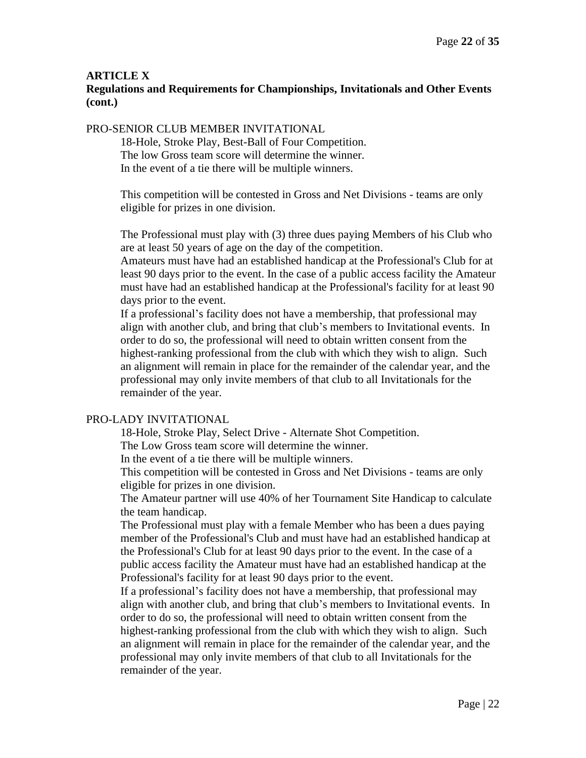# **Regulations and Requirements for Championships, Invitationals and Other Events (cont.)**

#### PRO-SENIOR CLUB MEMBER INVITATIONAL

18-Hole, Stroke Play, Best-Ball of Four Competition. The low Gross team score will determine the winner. In the event of a tie there will be multiple winners.

This competition will be contested in Gross and Net Divisions - teams are only eligible for prizes in one division.

The Professional must play with (3) three dues paying Members of his Club who are at least 50 years of age on the day of the competition.

Amateurs must have had an established handicap at the Professional's Club for at least 90 days prior to the event. In the case of a public access facility the Amateur must have had an established handicap at the Professional's facility for at least 90 days prior to the event.

If a professional's facility does not have a membership, that professional may align with another club, and bring that club's members to Invitational events. In order to do so, the professional will need to obtain written consent from the highest-ranking professional from the club with which they wish to align. Such an alignment will remain in place for the remainder of the calendar year, and the professional may only invite members of that club to all Invitationals for the remainder of the year.

#### PRO-LADY INVITATIONAL

18-Hole, Stroke Play, Select Drive - Alternate Shot Competition.

The Low Gross team score will determine the winner.

In the event of a tie there will be multiple winners.

This competition will be contested in Gross and Net Divisions - teams are only eligible for prizes in one division.

The Amateur partner will use 40% of her Tournament Site Handicap to calculate the team handicap.

The Professional must play with a female Member who has been a dues paying member of the Professional's Club and must have had an established handicap at the Professional's Club for at least 90 days prior to the event. In the case of a public access facility the Amateur must have had an established handicap at the Professional's facility for at least 90 days prior to the event.

If a professional's facility does not have a membership, that professional may align with another club, and bring that club's members to Invitational events. In order to do so, the professional will need to obtain written consent from the highest-ranking professional from the club with which they wish to align. Such an alignment will remain in place for the remainder of the calendar year, and the professional may only invite members of that club to all Invitationals for the remainder of the year.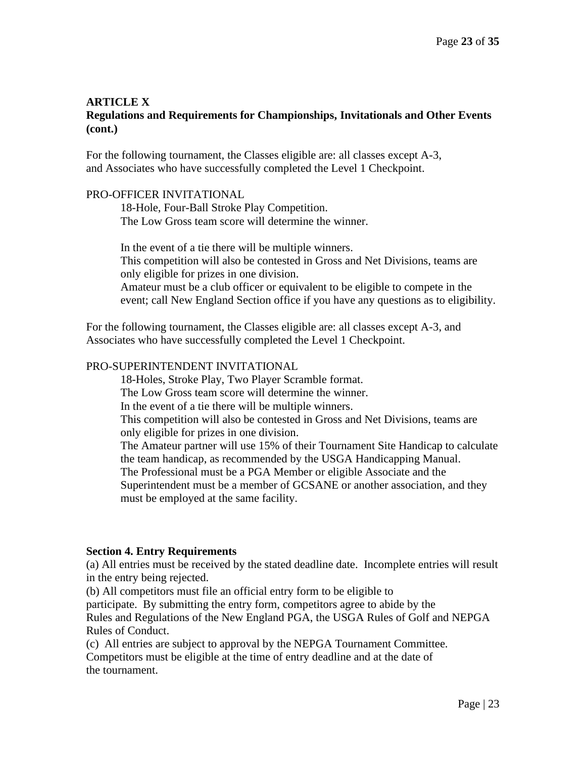# **ARTICLE X Regulations and Requirements for Championships, Invitationals and Other Events (cont.)**

For the following tournament, the Classes eligible are: all classes except A-3, and Associates who have successfully completed the Level 1 Checkpoint.

#### PRO-OFFICER INVITATIONAL

18-Hole, Four-Ball Stroke Play Competition. The Low Gross team score will determine the winner.

In the event of a tie there will be multiple winners. This competition will also be contested in Gross and Net Divisions, teams are only eligible for prizes in one division. Amateur must be a club officer or equivalent to be eligible to compete in the event; call New England Section office if you have any questions as to eligibility.

For the following tournament, the Classes eligible are: all classes except A-3, and Associates who have successfully completed the Level 1 Checkpoint.

#### PRO-SUPERINTENDENT INVITATIONAL

18-Holes, Stroke Play, Two Player Scramble format. The Low Gross team score will determine the winner. In the event of a tie there will be multiple winners. This competition will also be contested in Gross and Net Divisions, teams are only eligible for prizes in one division. The Amateur partner will use 15% of their Tournament Site Handicap to calculate the team handicap, as recommended by the USGA Handicapping Manual. The Professional must be a PGA Member or eligible Associate and the Superintendent must be a member of GCSANE or another association, and they must be employed at the same facility.

#### **Section 4. Entry Requirements**

(a) All entries must be received by the stated deadline date. Incomplete entries will result in the entry being rejected.

(b) All competitors must file an official entry form to be eligible to participate. By submitting the entry form, competitors agree to abide by the Rules and Regulations of the New England PGA, the USGA Rules of Golf and NEPGA Rules of Conduct.

(c) All entries are subject to approval by the NEPGA Tournament Committee. Competitors must be eligible at the time of entry deadline and at the date of the tournament.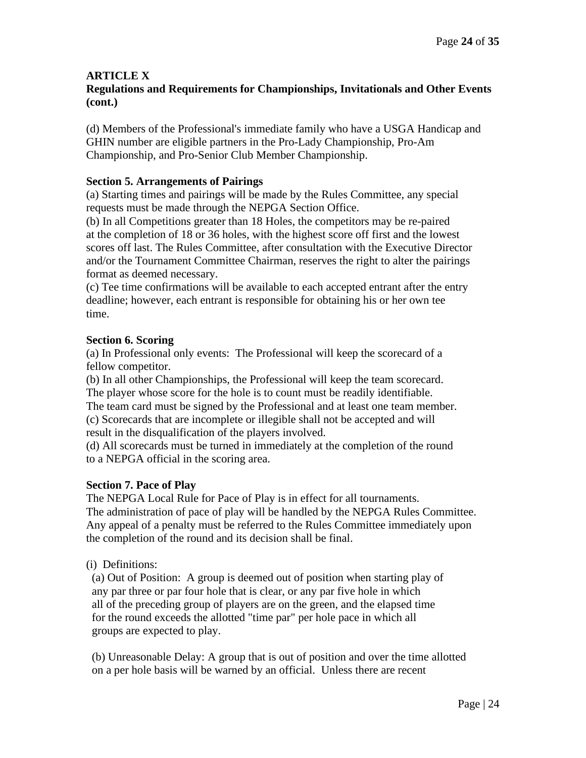#### **ARTICLE X Regulations and Requirements for Championships, Invitationals and Other Events (cont.)**

(d) Members of the Professional's immediate family who have a USGA Handicap and GHIN number are eligible partners in the Pro-Lady Championship, Pro-Am Championship, and Pro-Senior Club Member Championship.

# **Section 5. Arrangements of Pairings**

(a) Starting times and pairings will be made by the Rules Committee, any special requests must be made through the NEPGA Section Office.

(b) In all Competitions greater than 18 Holes, the competitors may be re-paired at the completion of 18 or 36 holes, with the highest score off first and the lowest scores off last. The Rules Committee, after consultation with the Executive Director and/or the Tournament Committee Chairman, reserves the right to alter the pairings format as deemed necessary.

(c) Tee time confirmations will be available to each accepted entrant after the entry deadline; however, each entrant is responsible for obtaining his or her own tee time.

# **Section 6. Scoring**

(a) In Professional only events: The Professional will keep the scorecard of a fellow competitor.

(b) In all other Championships, the Professional will keep the team scorecard. The player whose score for the hole is to count must be readily identifiable.

The team card must be signed by the Professional and at least one team member. (c) Scorecards that are incomplete or illegible shall not be accepted and will result in the disqualification of the players involved.

(d) All scorecards must be turned in immediately at the completion of the round to a NEPGA official in the scoring area.

# **Section 7. Pace of Play**

The NEPGA Local Rule for Pace of Play is in effect for all tournaments. The administration of pace of play will be handled by the NEPGA Rules Committee. Any appeal of a penalty must be referred to the Rules Committee immediately upon the completion of the round and its decision shall be final.

# (i) Definitions:

 (a) Out of Position: A group is deemed out of position when starting play of any par three or par four hole that is clear, or any par five hole in which all of the preceding group of players are on the green, and the elapsed time for the round exceeds the allotted "time par" per hole pace in which all groups are expected to play.

 (b) Unreasonable Delay: A group that is out of position and over the time allotted on a per hole basis will be warned by an official. Unless there are recent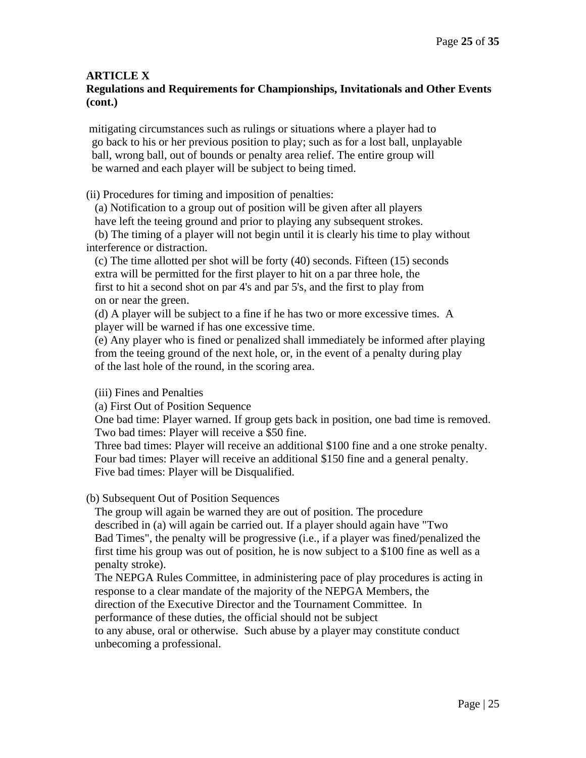# **Regulations and Requirements for Championships, Invitationals and Other Events (cont.)**

mitigating circumstances such as rulings or situations where a player had to go back to his or her previous position to play; such as for a lost ball, unplayable ball, wrong ball, out of bounds or penalty area relief. The entire group will be warned and each player will be subject to being timed.

(ii) Procedures for timing and imposition of penalties:

(a) Notification to a group out of position will be given after all players

have left the teeing ground and prior to playing any subsequent strokes.

 (b) The timing of a player will not begin until it is clearly his time to play without interference or distraction.

(c) The time allotted per shot will be forty (40) seconds. Fifteen (15) seconds extra will be permitted for the first player to hit on a par three hole, the first to hit a second shot on par 4's and par 5's, and the first to play from on or near the green.

 (d) A player will be subject to a fine if he has two or more excessive times. A player will be warned if has one excessive time.

 (e) Any player who is fined or penalized shall immediately be informed after playing from the teeing ground of the next hole, or, in the event of a penalty during play of the last hole of the round, in the scoring area.

# (iii) Fines and Penalties

(a) First Out of Position Sequence

 One bad time: Player warned. If group gets back in position, one bad time is removed. Two bad times: Player will receive a \$50 fine.

 Three bad times: Player will receive an additional \$100 fine and a one stroke penalty. Four bad times: Player will receive an additional \$150 fine and a general penalty. Five bad times: Player will be Disqualified.

# (b) Subsequent Out of Position Sequences

 The group will again be warned they are out of position. The procedure described in (a) will again be carried out. If a player should again have "Two Bad Times", the penalty will be progressive (i.e., if a player was fined/penalized the first time his group was out of position, he is now subject to a \$100 fine as well as a penalty stroke).

 The NEPGA Rules Committee, in administering pace of play procedures is acting in response to a clear mandate of the majority of the NEPGA Members, the direction of the Executive Director and the Tournament Committee. In

performance of these duties, the official should not be subject

 to any abuse, oral or otherwise. Such abuse by a player may constitute conduct unbecoming a professional.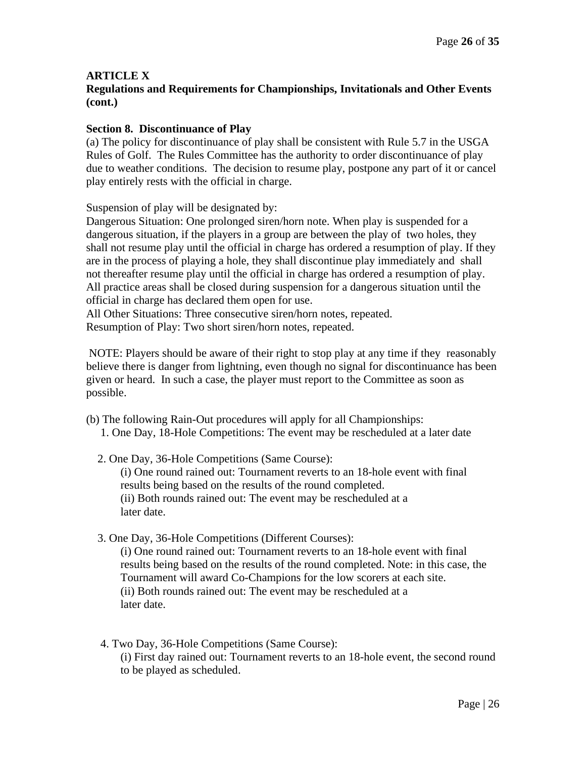# **Regulations and Requirements for Championships, Invitationals and Other Events (cont.)**

# **Section 8. Discontinuance of Play**

(a) The policy for discontinuance of play shall be consistent with Rule 5.7 in the USGA Rules of Golf. The Rules Committee has the authority to order discontinuance of play due to weather conditions. The decision to resume play, postpone any part of it or cancel play entirely rests with the official in charge.

Suspension of play will be designated by:

Dangerous Situation: One prolonged siren/horn note. When play is suspended for a dangerous situation, if the players in a group are between the play of two holes, they shall not resume play until the official in charge has ordered a resumption of play. If they are in the process of playing a hole, they shall discontinue play immediately and shall not thereafter resume play until the official in charge has ordered a resumption of play. All practice areas shall be closed during suspension for a dangerous situation until the official in charge has declared them open for use.

All Other Situations: Three consecutive siren/horn notes, repeated. Resumption of Play: Two short siren/horn notes, repeated.

NOTE: Players should be aware of their right to stop play at any time if they reasonably believe there is danger from lightning, even though no signal for discontinuance has been given or heard. In such a case, the player must report to the Committee as soon as possible.

- (b) The following Rain-Out procedures will apply for all Championships: 1. One Day, 18-Hole Competitions: The event may be rescheduled at a later date
	- 2. One Day, 36-Hole Competitions (Same Course): (i) One round rained out: Tournament reverts to an 18-hole event with final results being based on the results of the round completed. (ii) Both rounds rained out: The event may be rescheduled at a later date.
	- 3. One Day, 36-Hole Competitions (Different Courses):

(i) One round rained out: Tournament reverts to an 18-hole event with final results being based on the results of the round completed. Note: in this case, the Tournament will award Co-Champions for the low scorers at each site. (ii) Both rounds rained out: The event may be rescheduled at a later date.

 4. Two Day, 36-Hole Competitions (Same Course): (i) First day rained out: Tournament reverts to an 18-hole event, the second round to be played as scheduled.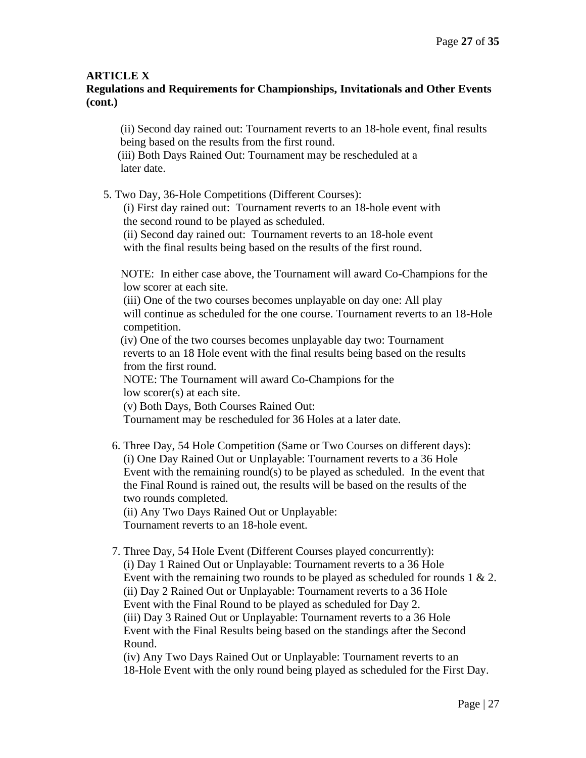# **Regulations and Requirements for Championships, Invitationals and Other Events (cont.)**

(ii) Second day rained out: Tournament reverts to an 18-hole event, final results being based on the results from the first round.

 (iii) Both Days Rained Out: Tournament may be rescheduled at a later date.

5. Two Day, 36-Hole Competitions (Different Courses):

 (i) First day rained out: Tournament reverts to an 18-hole event with the second round to be played as scheduled.

 (ii) Second day rained out: Tournament reverts to an 18-hole event with the final results being based on the results of the first round.

NOTE: In either case above, the Tournament will award Co-Champions for the low scorer at each site.

 (iii) One of the two courses becomes unplayable on day one: All play will continue as scheduled for the one course. Tournament reverts to an 18-Hole competition.

(iv) One of the two courses becomes unplayable day two: Tournament reverts to an 18 Hole event with the final results being based on the results from the first round.

NOTE: The Tournament will award Co-Champions for the low scorer(s) at each site.

(v) Both Days, Both Courses Rained Out:

Tournament may be rescheduled for 36 Holes at a later date.

 6. Three Day, 54 Hole Competition (Same or Two Courses on different days): (i) One Day Rained Out or Unplayable: Tournament reverts to a 36 Hole Event with the remaining round(s) to be played as scheduled. In the event that the Final Round is rained out, the results will be based on the results of the two rounds completed.

 (ii) Any Two Days Rained Out or Unplayable: Tournament reverts to an 18-hole event.

 7. Three Day, 54 Hole Event (Different Courses played concurrently): (i) Day 1 Rained Out or Unplayable: Tournament reverts to a 36 Hole Event with the remaining two rounds to be played as scheduled for rounds 1 & 2. (ii) Day 2 Rained Out or Unplayable: Tournament reverts to a 36 Hole Event with the Final Round to be played as scheduled for Day 2. (iii) Day 3 Rained Out or Unplayable: Tournament reverts to a 36 Hole Event with the Final Results being based on the standings after the Second Round.

 (iv) Any Two Days Rained Out or Unplayable: Tournament reverts to an 18-Hole Event with the only round being played as scheduled for the First Day.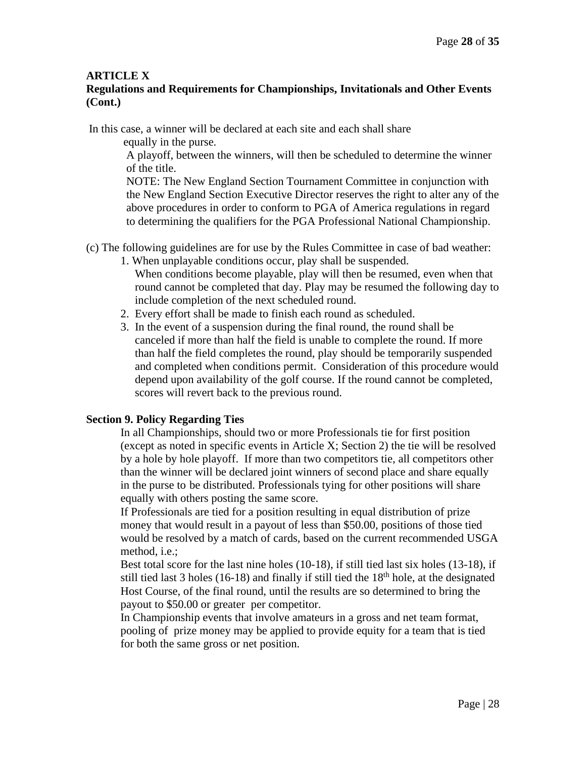# **Regulations and Requirements for Championships, Invitationals and Other Events (Cont.)**

In this case, a winner will be declared at each site and each shall share

equally in the purse.

A playoff, between the winners, will then be scheduled to determine the winner of the title.

NOTE: The New England Section Tournament Committee in conjunction with the New England Section Executive Director reserves the right to alter any of the above procedures in order to conform to PGA of America regulations in regard to determining the qualifiers for the PGA Professional National Championship.

- (c) The following guidelines are for use by the Rules Committee in case of bad weather:
	- 1. When unplayable conditions occur, play shall be suspended. When conditions become playable, play will then be resumed, even when that round cannot be completed that day. Play may be resumed the following day to include completion of the next scheduled round.
	- 2. Every effort shall be made to finish each round as scheduled.
	- 3. In the event of a suspension during the final round, the round shall be canceled if more than half the field is unable to complete the round. If more than half the field completes the round, play should be temporarily suspended and completed when conditions permit. Consideration of this procedure would depend upon availability of the golf course. If the round cannot be completed, scores will revert back to the previous round.

# **Section 9. Policy Regarding Ties**

In all Championships, should two or more Professionals tie for first position (except as noted in specific events in Article X; Section 2) the tie will be resolved by a hole by hole playoff. If more than two competitors tie, all competitors other than the winner will be declared joint winners of second place and share equally in the purse to be distributed. Professionals tying for other positions will share equally with others posting the same score.

If Professionals are tied for a position resulting in equal distribution of prize money that would result in a payout of less than \$50.00, positions of those tied would be resolved by a match of cards, based on the current recommended USGA method, i.e.;

Best total score for the last nine holes (10-18), if still tied last six holes (13-18), if still tied last 3 holes (16-18) and finally if still tied the  $18<sup>th</sup>$  hole, at the designated Host Course, of the final round, until the results are so determined to bring the payout to \$50.00 or greater per competitor.

In Championship events that involve amateurs in a gross and net team format, pooling of prize money may be applied to provide equity for a team that is tied for both the same gross or net position.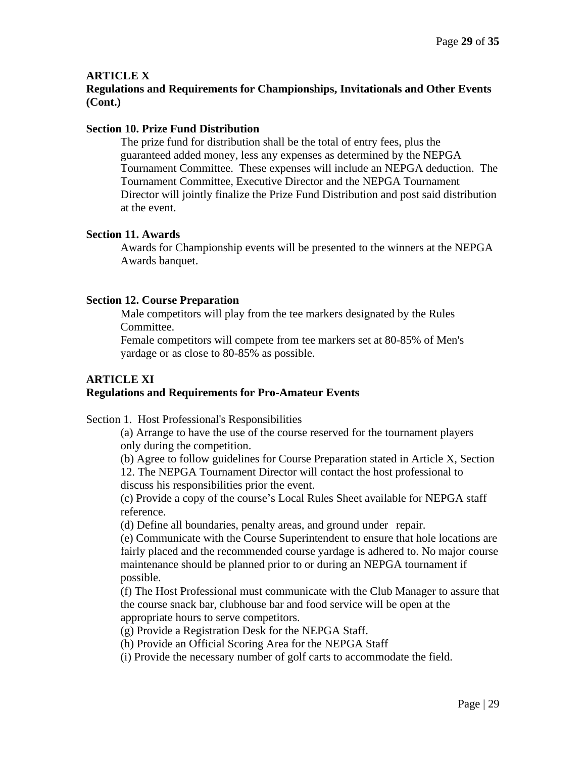# **Regulations and Requirements for Championships, Invitationals and Other Events (Cont.)**

#### **Section 10. Prize Fund Distribution**

The prize fund for distribution shall be the total of entry fees, plus the guaranteed added money, less any expenses as determined by the NEPGA Tournament Committee. These expenses will include an NEPGA deduction. The Tournament Committee, Executive Director and the NEPGA Tournament Director will jointly finalize the Prize Fund Distribution and post said distribution at the event.

#### **Section 11. Awards**

Awards for Championship events will be presented to the winners at the NEPGA Awards banquet.

#### **Section 12. Course Preparation**

Male competitors will play from the tee markers designated by the Rules Committee.

Female competitors will compete from tee markers set at 80-85% of Men's yardage or as close to 80-85% as possible.

# **ARTICLE XI Regulations and Requirements for Pro-Amateur Events**

Section 1. Host Professional's Responsibilities

(a) Arrange to have the use of the course reserved for the tournament players only during the competition.

(b) Agree to follow guidelines for Course Preparation stated in Article X, Section 12. The NEPGA Tournament Director will contact the host professional to discuss his responsibilities prior the event.

(c) Provide a copy of the course's Local Rules Sheet available for NEPGA staff reference.

(d) Define all boundaries, penalty areas, and ground under repair.

(e) Communicate with the Course Superintendent to ensure that hole locations are fairly placed and the recommended course yardage is adhered to. No major course maintenance should be planned prior to or during an NEPGA tournament if possible.

(f) The Host Professional must communicate with the Club Manager to assure that the course snack bar, clubhouse bar and food service will be open at the appropriate hours to serve competitors.

(g) Provide a Registration Desk for the NEPGA Staff.

(h) Provide an Official Scoring Area for the NEPGA Staff

(i) Provide the necessary number of golf carts to accommodate the field.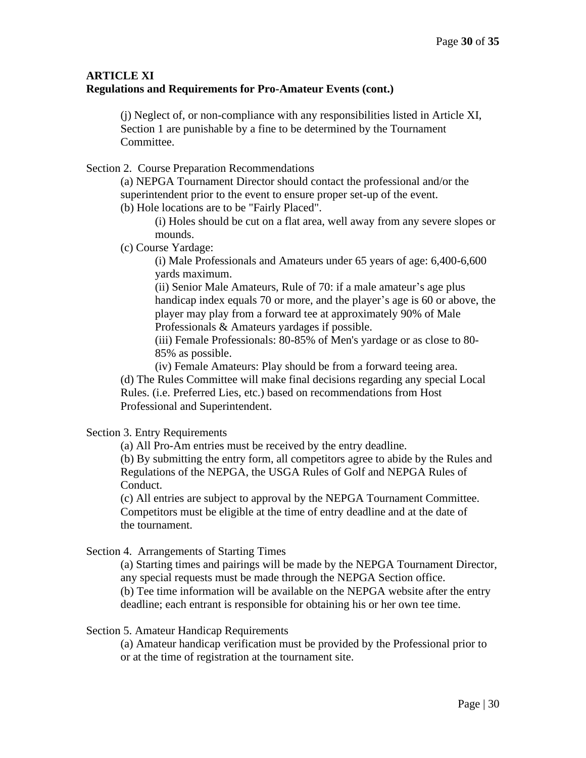# **ARTICLE XI Regulations and Requirements for Pro-Amateur Events (cont.)**

(j) Neglect of, or non-compliance with any responsibilities listed in Article XI, Section 1 are punishable by a fine to be determined by the Tournament Committee.

Section 2. Course Preparation Recommendations

(a) NEPGA Tournament Director should contact the professional and/or the superintendent prior to the event to ensure proper set-up of the event.

(b) Hole locations are to be "Fairly Placed".

(i) Holes should be cut on a flat area, well away from any severe slopes or mounds.

(c) Course Yardage:

(i) Male Professionals and Amateurs under 65 years of age: 6,400-6,600 yards maximum.

(ii) Senior Male Amateurs, Rule of 70: if a male amateur's age plus handicap index equals 70 or more, and the player's age is 60 or above, the player may play from a forward tee at approximately 90% of Male Professionals & Amateurs yardages if possible.

(iii) Female Professionals: 80-85% of Men's yardage or as close to 80- 85% as possible.

(iv) Female Amateurs: Play should be from a forward teeing area.

(d) The Rules Committee will make final decisions regarding any special Local Rules. (i.e. Preferred Lies, etc.) based on recommendations from Host Professional and Superintendent.

# Section 3. Entry Requirements

(a) All Pro-Am entries must be received by the entry deadline.

(b) By submitting the entry form, all competitors agree to abide by the Rules and Regulations of the NEPGA, the USGA Rules of Golf and NEPGA Rules of Conduct.

(c) All entries are subject to approval by the NEPGA Tournament Committee. Competitors must be eligible at the time of entry deadline and at the date of the tournament.

Section 4. Arrangements of Starting Times

(a) Starting times and pairings will be made by the NEPGA Tournament Director, any special requests must be made through the NEPGA Section office.

(b) Tee time information will be available on the NEPGA website after the entry deadline; each entrant is responsible for obtaining his or her own tee time.

Section 5. Amateur Handicap Requirements

(a) Amateur handicap verification must be provided by the Professional prior to or at the time of registration at the tournament site.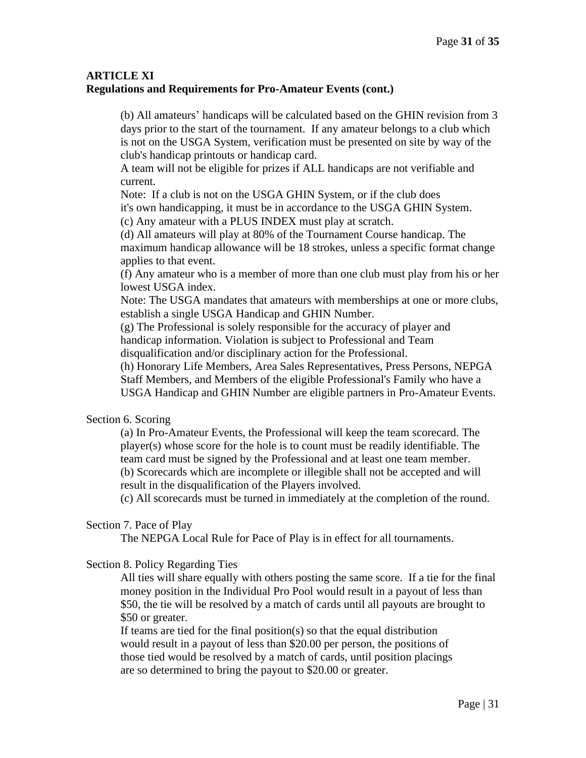# **ARTICLE XI Regulations and Requirements for Pro-Amateur Events (cont.)**

(b) All amateurs' handicaps will be calculated based on the GHIN revision from 3 days prior to the start of the tournament. If any amateur belongs to a club which is not on the USGA System, verification must be presented on site by way of the club's handicap printouts or handicap card.

A team will not be eligible for prizes if ALL handicaps are not verifiable and current.

Note: If a club is not on the USGA GHIN System, or if the club does it's own handicapping, it must be in accordance to the USGA GHIN System.

(c) Any amateur with a PLUS INDEX must play at scratch.

(d) All amateurs will play at 80% of the Tournament Course handicap. The maximum handicap allowance will be 18 strokes, unless a specific format change applies to that event.

(f) Any amateur who is a member of more than one club must play from his or her lowest USGA index.

Note: The USGA mandates that amateurs with memberships at one or more clubs, establish a single USGA Handicap and GHIN Number.

(g) The Professional is solely responsible for the accuracy of player and handicap information. Violation is subject to Professional and Team disqualification and/or disciplinary action for the Professional.

(h) Honorary Life Members, Area Sales Representatives, Press Persons, NEPGA Staff Members, and Members of the eligible Professional's Family who have a USGA Handicap and GHIN Number are eligible partners in Pro-Amateur Events.

# Section 6. Scoring

(a) In Pro-Amateur Events, the Professional will keep the team scorecard. The player(s) whose score for the hole is to count must be readily identifiable. The team card must be signed by the Professional and at least one team member. (b) Scorecards which are incomplete or illegible shall not be accepted and will result in the disqualification of the Players involved.

(c) All scorecards must be turned in immediately at the completion of the round.

#### Section 7. Pace of Play

The NEPGA Local Rule for Pace of Play is in effect for all tournaments.

#### Section 8. Policy Regarding Ties

All ties will share equally with others posting the same score. If a tie for the final money position in the Individual Pro Pool would result in a payout of less than \$50, the tie will be resolved by a match of cards until all payouts are brought to \$50 or greater.

If teams are tied for the final position(s) so that the equal distribution would result in a payout of less than \$20.00 per person, the positions of those tied would be resolved by a match of cards, until position placings are so determined to bring the payout to \$20.00 or greater.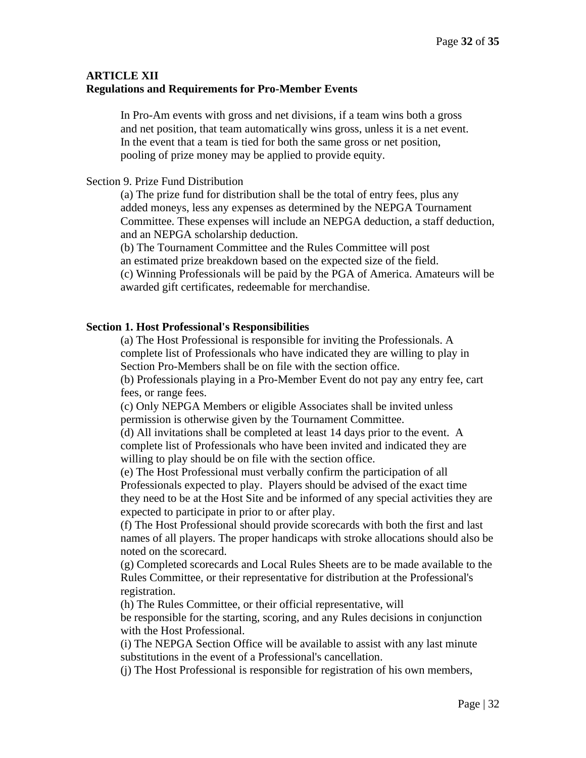# **ARTICLE XII Regulations and Requirements for Pro-Member Events**

In Pro-Am events with gross and net divisions, if a team wins both a gross and net position, that team automatically wins gross, unless it is a net event. In the event that a team is tied for both the same gross or net position, pooling of prize money may be applied to provide equity.

#### Section 9. Prize Fund Distribution

(a) The prize fund for distribution shall be the total of entry fees, plus any added moneys, less any expenses as determined by the NEPGA Tournament Committee. These expenses will include an NEPGA deduction, a staff deduction, and an NEPGA scholarship deduction.

(b) The Tournament Committee and the Rules Committee will post

an estimated prize breakdown based on the expected size of the field.

(c) Winning Professionals will be paid by the PGA of America. Amateurs will be awarded gift certificates, redeemable for merchandise.

#### **Section 1. Host Professional's Responsibilities**

(a) The Host Professional is responsible for inviting the Professionals. A complete list of Professionals who have indicated they are willing to play in Section Pro-Members shall be on file with the section office.

(b) Professionals playing in a Pro-Member Event do not pay any entry fee, cart fees, or range fees.

(c) Only NEPGA Members or eligible Associates shall be invited unless permission is otherwise given by the Tournament Committee.

(d) All invitations shall be completed at least 14 days prior to the event. A complete list of Professionals who have been invited and indicated they are willing to play should be on file with the section office.

(e) The Host Professional must verbally confirm the participation of all Professionals expected to play. Players should be advised of the exact time they need to be at the Host Site and be informed of any special activities they are expected to participate in prior to or after play.

(f) The Host Professional should provide scorecards with both the first and last names of all players. The proper handicaps with stroke allocations should also be noted on the scorecard.

(g) Completed scorecards and Local Rules Sheets are to be made available to the Rules Committee, or their representative for distribution at the Professional's registration.

(h) The Rules Committee, or their official representative, will

be responsible for the starting, scoring, and any Rules decisions in conjunction with the Host Professional.

(i) The NEPGA Section Office will be available to assist with any last minute substitutions in the event of a Professional's cancellation.

(j) The Host Professional is responsible for registration of his own members,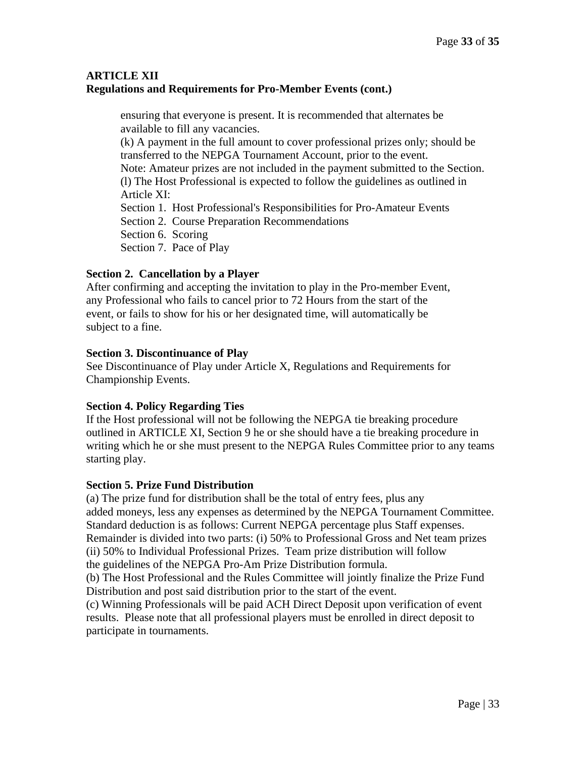# **ARTICLE XII Regulations and Requirements for Pro-Member Events (cont.)**

ensuring that everyone is present. It is recommended that alternates be available to fill any vacancies. (k) A payment in the full amount to cover professional prizes only; should be transferred to the NEPGA Tournament Account, prior to the event. Note: Amateur prizes are not included in the payment submitted to the Section. (l) The Host Professional is expected to follow the guidelines as outlined in Article XI: Section 1. Host Professional's Responsibilities for Pro-Amateur Events Section 2. Course Preparation Recommendations Section 6. Scoring Section 7. Pace of Play

# **Section 2. Cancellation by a Player**

After confirming and accepting the invitation to play in the Pro-member Event, any Professional who fails to cancel prior to 72 Hours from the start of the event, or fails to show for his or her designated time, will automatically be subject to a fine.

# **Section 3. Discontinuance of Play**

See Discontinuance of Play under Article X, Regulations and Requirements for Championship Events.

# **Section 4. Policy Regarding Ties**

If the Host professional will not be following the NEPGA tie breaking procedure outlined in ARTICLE XI, Section 9 he or she should have a tie breaking procedure in writing which he or she must present to the NEPGA Rules Committee prior to any teams starting play.

# **Section 5. Prize Fund Distribution**

(a) The prize fund for distribution shall be the total of entry fees, plus any added moneys, less any expenses as determined by the NEPGA Tournament Committee. Standard deduction is as follows: Current NEPGA percentage plus Staff expenses. Remainder is divided into two parts: (i) 50% to Professional Gross and Net team prizes (ii) 50% to Individual Professional Prizes. Team prize distribution will follow the guidelines of the NEPGA Pro-Am Prize Distribution formula.

(b) The Host Professional and the Rules Committee will jointly finalize the Prize Fund Distribution and post said distribution prior to the start of the event.

(c) Winning Professionals will be paid ACH Direct Deposit upon verification of event results. Please note that all professional players must be enrolled in direct deposit to participate in tournaments.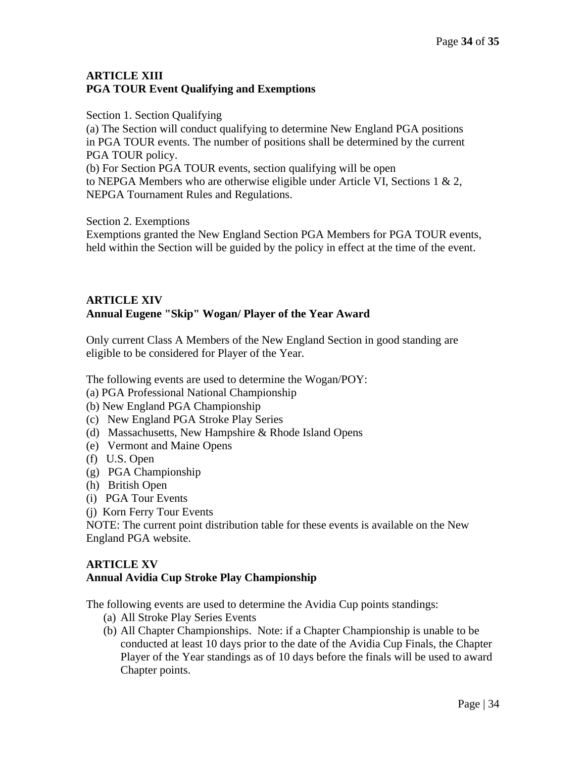# **ARTICLE XIII PGA TOUR Event Qualifying and Exemptions**

Section 1. Section Qualifying

(a) The Section will conduct qualifying to determine New England PGA positions in PGA TOUR events. The number of positions shall be determined by the current PGA TOUR policy. (b) For Section PGA TOUR events, section qualifying will be open

to NEPGA Members who are otherwise eligible under Article VI, Sections 1  $\& 2$ , NEPGA Tournament Rules and Regulations.

Section 2. Exemptions

Exemptions granted the New England Section PGA Members for PGA TOUR events, held within the Section will be guided by the policy in effect at the time of the event.

# **ARTICLE XIV Annual Eugene "Skip" Wogan/ Player of the Year Award**

Only current Class A Members of the New England Section in good standing are eligible to be considered for Player of the Year.

The following events are used to determine the Wogan/POY:

- (a) PGA Professional National Championship
- (b) New England PGA Championship
- (c) New England PGA Stroke Play Series
- (d) Massachusetts, New Hampshire & Rhode Island Opens
- (e) Vermont and Maine Opens
- (f) U.S. Open
- (g) PGA Championship
- (h) British Open
- (i) PGA Tour Events
- (j) Korn Ferry Tour Events

NOTE: The current point distribution table for these events is available on the New England PGA website.

# **ARTICLE XV Annual Avidia Cup Stroke Play Championship**

The following events are used to determine the Avidia Cup points standings:

- (a) All Stroke Play Series Events
- (b) All Chapter Championships. Note: if a Chapter Championship is unable to be conducted at least 10 days prior to the date of the Avidia Cup Finals, the Chapter Player of the Year standings as of 10 days before the finals will be used to award Chapter points.